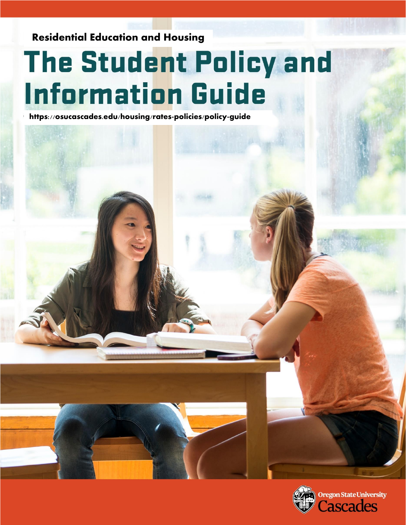Residential Education and Housing

# The Student Policy and **Information Guide**

https://osucascades.edu/housing/rates-policies/policy-guide

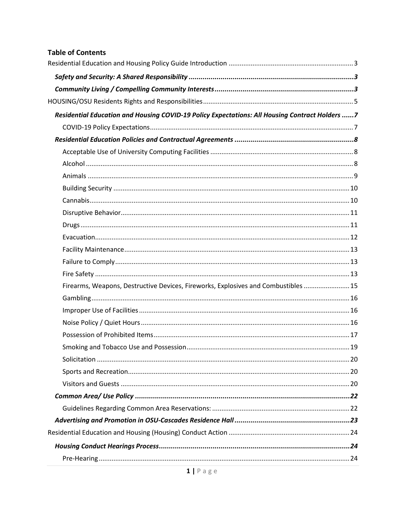#### **Table of Contents**

| Residential Education and Housing COVID-19 Policy Expectations: All Housing Contract Holders 7 |  |
|------------------------------------------------------------------------------------------------|--|
|                                                                                                |  |
|                                                                                                |  |
|                                                                                                |  |
|                                                                                                |  |
|                                                                                                |  |
|                                                                                                |  |
|                                                                                                |  |
|                                                                                                |  |
|                                                                                                |  |
|                                                                                                |  |
|                                                                                                |  |
|                                                                                                |  |
|                                                                                                |  |
| Firearms, Weapons, Destructive Devices, Fireworks, Explosives and Combustibles  15             |  |
|                                                                                                |  |
|                                                                                                |  |
|                                                                                                |  |
|                                                                                                |  |
|                                                                                                |  |
|                                                                                                |  |
|                                                                                                |  |
|                                                                                                |  |
|                                                                                                |  |
|                                                                                                |  |
|                                                                                                |  |
|                                                                                                |  |
|                                                                                                |  |
|                                                                                                |  |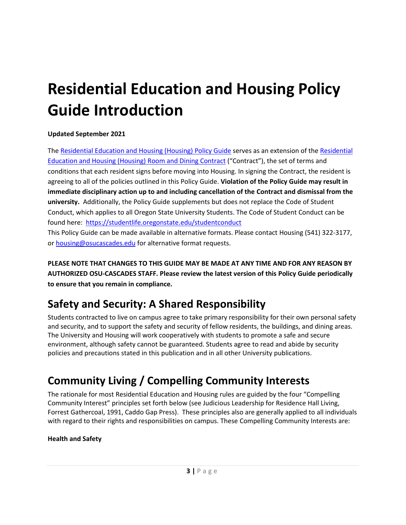## <span id="page-3-0"></span>**Residential Education and Housing Policy Guide Introduction**

#### **Updated September 2021**

The [Residential Education and Housing \(Housing\)](http://osucascades.edu/uhds/rates-policies/uhds-policy-guide) Policy Guide serves as an extension of th[e Residential](http://osucascades.edu/uhds/rates-policies/contracts)  [Education and Housing \(Housing\)](http://osucascades.edu/uhds/rates-policies/contracts) Room and Dining Contract ("Contract"), the set of terms and conditions that each resident signs before moving into Housing. In signing the Contract, the resident is agreeing to all of the policies outlined in this Policy Guide. **Violation of the Policy Guide may result in immediate disciplinary action up to and including cancellation of the Contract and dismissal from the university.** Additionally, the Policy Guide supplements but does not replace the Code of Student Conduct, which applies to all Oregon State University Students. The Code of Student Conduct can be found here:<https://studentlife.oregonstate.edu/studentconduct>

This Policy Guide can be made available in alternative formats. Please contact Housing (541) 322-3177, or [housing@osucascades.edu](mailto:housing@osucascades.edu) for alternative format requests.

**PLEASE NOTE THAT CHANGES TO THIS GUIDE MAY BE MADE AT ANY TIME AND FOR ANY REASON BY AUTHORIZED OSU-CASCADES STAFF. Please review the latest version of this Policy Guide periodically to ensure that you remain in compliance.**

## <span id="page-3-1"></span>**Safety and Security: A Shared Responsibility**

Students contracted to live on campus agree to take primary responsibility for their own personal safety and security, and to support the safety and security of fellow residents, the buildings, and dining areas. The University and Housing will work cooperatively with students to promote a safe and secure environment, although safety cannot be guaranteed. Students agree to read and abide by security policies and precautions stated in this publication and in all other University publications.

## <span id="page-3-2"></span>**Community Living / Compelling Community Interests**

The rationale for most Residential Education and Housing rules are guided by the four "Compelling Community Interest" principles set forth below (see Judicious Leadership for Residence Hall Living, Forrest Gathercoal, 1991, Caddo Gap Press). These principles also are generally applied to all individuals with regard to their rights and responsibilities on campus. These Compelling Community Interests are:

#### **Health and Safety**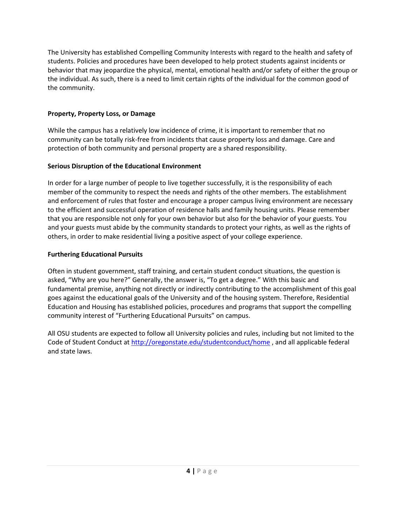The University has established Compelling Community Interests with regard to the health and safety of students. Policies and procedures have been developed to help protect students against incidents or behavior that may jeopardize the physical, mental, emotional health and/or safety of either the group or the individual. As such, there is a need to limit certain rights of the individual for the common good of the community.

#### **Property, Property Loss, or Damage**

While the campus has a relatively low incidence of crime, it is important to remember that no community can be totally risk-free from incidents that cause property loss and damage. Care and protection of both community and personal property are a shared responsibility.

#### **Serious Disruption of the Educational Environment**

In order for a large number of people to live together successfully, it is the responsibility of each member of the community to respect the needs and rights of the other members. The establishment and enforcement of rules that foster and encourage a proper campus living environment are necessary to the efficient and successful operation of residence halls and family housing units. Please remember that you are responsible not only for your own behavior but also for the behavior of your guests. You and your guests must abide by the community standards to protect your rights, as well as the rights of others, in order to make residential living a positive aspect of your college experience.

#### **Furthering Educational Pursuits**

Often in student government, staff training, and certain student conduct situations, the question is asked, "Why are you here?" Generally, the answer is, "To get a degree." With this basic and fundamental premise, anything not directly or indirectly contributing to the accomplishment of this goal goes against the educational goals of the University and of the housing system. Therefore, Residential Education and Housing has established policies, procedures and programs that support the compelling community interest of "Furthering Educational Pursuits" on campus.

All OSU students are expected to follow all University policies and rules, including but not limited to the Code of Student Conduct at<http://oregonstate.edu/studentconduct/home> , and all applicable federal and state laws.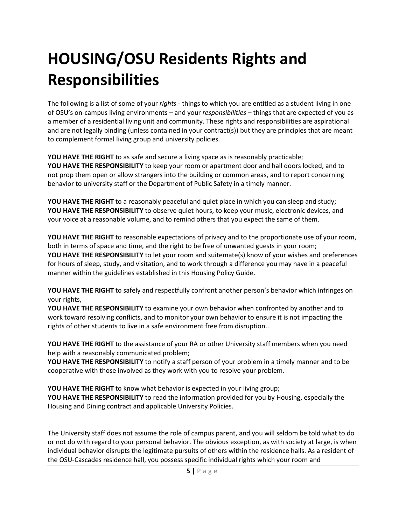## <span id="page-5-0"></span>**HOUSING/OSU Residents Rights and Responsibilities**

The following is a list of some of your *rights* - things to which you are entitled as a student living in one of OSU's on-campus living environments – and your *responsibilities* – things that are expected of you as a member of a residential living unit and community. These rights and responsibilities are aspirational and are not legally binding (unless contained in your contract(s)) but they are principles that are meant to complement formal living group and university policies.

**YOU HAVE THE RIGHT** to as safe and secure a living space as is reasonably practicable;

**YOU HAVE THE RESPONSIBILITY** to keep your room or apartment door and hall doors locked, and to not prop them open or allow strangers into the building or common areas, and to report concerning behavior to university staff or the Department of Public Safety in a timely manner.

**YOU HAVE THE RIGHT** to a reasonably peaceful and quiet place in which you can sleep and study; **YOU HAVE THE RESPONSIBILITY** to observe quiet hours, to keep your music, electronic devices, and your voice at a reasonable volume, and to remind others that you expect the same of them.

**YOU HAVE THE RIGHT** to reasonable expectations of privacy and to the proportionate use of your room, both in terms of space and time, and the right to be free of unwanted guests in your room; **YOU HAVE THE RESPONSIBILITY** to let your room and suitemate(s) know of your wishes and preferences for hours of sleep, study, and visitation, and to work through a difference you may have in a peaceful manner within the guidelines established in this Housing Policy Guide.

**YOU HAVE THE RIGHT** to safely and respectfully confront another person's behavior which infringes on your rights,

**YOU HAVE THE RESPONSIBILITY** to examine your own behavior when confronted by another and to work toward resolving conflicts, and to monitor your own behavior to ensure it is not impacting the rights of other students to live in a safe environment free from disruption..

**YOU HAVE THE RIGHT** to the assistance of your RA or other University staff members when you need help with a reasonably communicated problem;

**YOU HAVE THE RESPONSIBILITY** to notify a staff person of your problem in a timely manner and to be cooperative with those involved as they work with you to resolve your problem.

**YOU HAVE THE RIGHT** to know what behavior is expected in your living group; **YOU HAVE THE RESPONSIBILITY** to read the information provided for you by Housing, especially the Housing and Dining contract and applicable University Policies.

The University staff does not assume the role of campus parent, and you will seldom be told what to do or not do with regard to your personal behavior. The obvious exception, as with society at large, is when individual behavior disrupts the legitimate pursuits of others within the residence halls. As a resident of the OSU-Cascades residence hall, you possess specific individual rights which your room and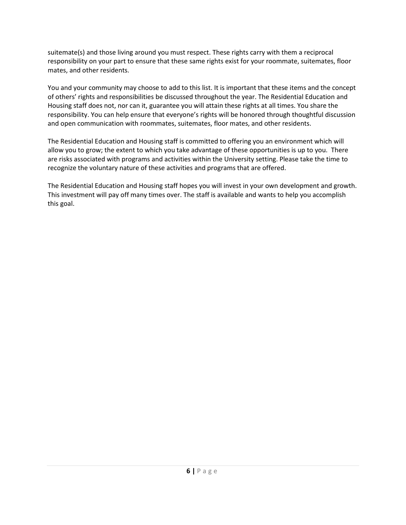suitemate(s) and those living around you must respect. These rights carry with them a reciprocal responsibility on your part to ensure that these same rights exist for your roommate, suitemates, floor mates, and other residents.

You and your community may choose to add to this list. It is important that these items and the concept of others' rights and responsibilities be discussed throughout the year. The Residential Education and Housing staff does not, nor can it, guarantee you will attain these rights at all times. You share the responsibility. You can help ensure that everyone's rights will be honored through thoughtful discussion and open communication with roommates, suitemates, floor mates, and other residents.

The Residential Education and Housing staff is committed to offering you an environment which will allow you to grow; the extent to which you take advantage of these opportunities is up to you. There are risks associated with programs and activities within the University setting. Please take the time to recognize the voluntary nature of these activities and programs that are offered.

The Residential Education and Housing staff hopes you will invest in your own development and growth. This investment will pay off many times over. The staff is available and wants to help you accomplish this goal.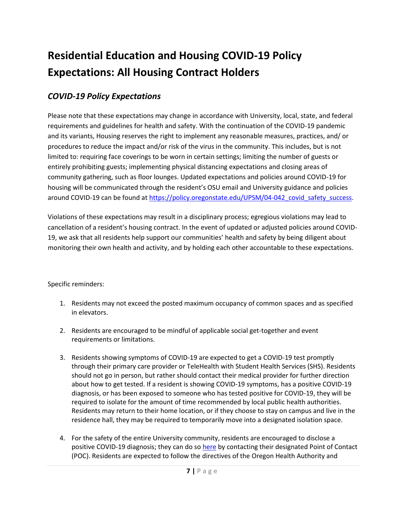## <span id="page-7-0"></span>**Residential Education and Housing COVID-19 Policy Expectations: All Housing Contract Holders**

#### <span id="page-7-1"></span>*COVID-19 Policy Expectations*

Please note that these expectations may change in accordance with University, local, state, and federal requirements and guidelines for health and safety. With the continuation of the COVID-19 pandemic and its variants, Housing reserves the right to implement any reasonable measures, practices, and/ or procedures to reduce the impact and/or risk of the virus in the community. This includes, but is not limited to: requiring face coverings to be worn in certain settings; limiting the number of guests or entirely prohibiting guests; implementing physical distancing expectations and closing areas of community gathering, such as floor lounges. Updated expectations and policies around COVID-19 for housing will be communicated through the resident's OSU email and University guidance and policies around COVID-19 can be found at https://policy.oregonstate.edu/UPSM/04-042 covid safety success.

Violations of these expectations may result in a disciplinary process; egregious violations may lead to cancellation of a resident's housing contract. In the event of updated or adjusted policies around COVID-19, we ask that all residents help support our communities' health and safety by being diligent about monitoring their own health and activity, and by holding each other accountable to these expectations.

#### Specific reminders:

- 1. Residents may not exceed the posted maximum occupancy of common spaces and as specified in elevators.
- 2. Residents are encouraged to be mindful of applicable social get-together and event requirements or limitations.
- 3. Residents showing symptoms of COVID-19 are expected to get a COVID-19 test promptly through their primary care provider or TeleHealth with Student Health Services (SHS). Residents should not go in person, but rather should contact their medical provider for further direction about how to get tested. If a resident is showing COVID-19 symptoms, has a positive COVID-19 diagnosis, or has been exposed to someone who has tested positive for COVID-19, they will be required to isolate for the amount of time recommended by local public health authorities. Residents may return to their home location, or if they choose to stay on campus and live in the residence hall, they may be required to temporarily move into a designated isolation space.
- 4. For the safety of the entire University community, residents are encouraged to disclose a positive COVID-19 diagnosis; they can do s[o here](https://nam04.safelinks.protection.outlook.com/?url=https%3A%2F%2Fhr.oregonstate.edu%2Fcovid-19-resources%2Fpositive-case-communication&data=04%7C01%7CEsther.Henry%40oregonstate.edu%7Ccb8b2839ca484875f07108d979ef6b7e%7Cce6d05e13c5e4d6287a84c4a2713c113%7C0%7C0%7C637674891463799729%7CUnknown%7CTWFpbGZsb3d8eyJWIjoiMC4wLjAwMDAiLCJQIjoiV2luMzIiLCJBTiI6Ik1haWwiLCJXVCI6Mn0%3D%7C1000&sdata=bEyn0jkf4TEhgCn6pLOMl1Dkpw%2BrCKHiBtCOwkn6S40%3D&reserved=0) by contacting their designated Point of Contact (POC). Residents are expected to follow the directives of the Oregon Health Authority and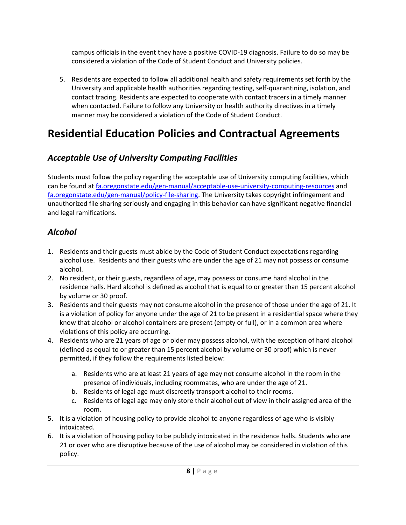campus officials in the event they have a positive COVID-19 diagnosis. Failure to do so may be considered a violation of the Code of Student Conduct and University policies.

5. Residents are expected to follow all additional health and safety requirements set forth by the University and applicable health authorities regarding testing, self-quarantining, isolation, and contact tracing. Residents are expected to cooperate with contact tracers in a timely manner when contacted. Failure to follow any University or health authority directives in a timely manner may be considered a violation of the Code of Student Conduct.

## <span id="page-8-0"></span>**Residential Education Policies and Contractual Agreements**

#### <span id="page-8-1"></span>*Acceptable Use of University Computing Facilities*

Students must follow the policy regarding the acceptable use of University computing facilities, which can be found at [fa.oregonstate.edu/gen-manual/acceptable-use-university-computing-resources](http://fa.oregonstate.edu/gen-manual/acceptable-use-university-computing-resources) and [fa.oregonstate.edu/gen-manual/policy-file-sharing.](http://fa.oregonstate.edu/gen-manual/policy-regarding-unauthorized-peer-peer-p2p-file-sharing-and-other-copyright-infringement) The University takes copyright infringement and unauthorized file sharing seriously and engaging in this behavior can have significant negative financial and legal ramifications.

#### <span id="page-8-2"></span>*Alcohol*

- 1. Residents and their guests must abide by the Code of Student Conduct expectations regarding alcohol use. Residents and their guests who are under the age of 21 may not possess or consume alcohol.
- 2. No resident, or their guests, regardless of age, may possess or consume hard alcohol in the residence halls. Hard alcohol is defined as alcohol that is equal to or greater than 15 percent alcohol by volume or 30 proof.
- 3. Residents and their guests may not consume alcohol in the presence of those under the age of 21. It is a violation of policy for anyone under the age of 21 to be present in a residential space where they know that alcohol or alcohol containers are present (empty or full), or in a common area where violations of this policy are occurring.
- 4. Residents who are 21 years of age or older may possess alcohol, with the exception of hard alcohol (defined as equal to or greater than 15 percent alcohol by volume or 30 proof) which is never permitted, if they follow the requirements listed below:
	- a. Residents who are at least 21 years of age may not consume alcohol in the room in the presence of individuals, including roommates, who are under the age of 21.
	- b. Residents of legal age must discreetly transport alcohol to their rooms.
	- c. Residents of legal age may only store their alcohol out of view in their assigned area of the room.
- 5. It is a violation of housing policy to provide alcohol to anyone regardless of age who is visibly intoxicated.
- 6. It is a violation of housing policy to be publicly intoxicated in the residence halls. Students who are 21 or over who are disruptive because of the use of alcohol may be considered in violation of this policy.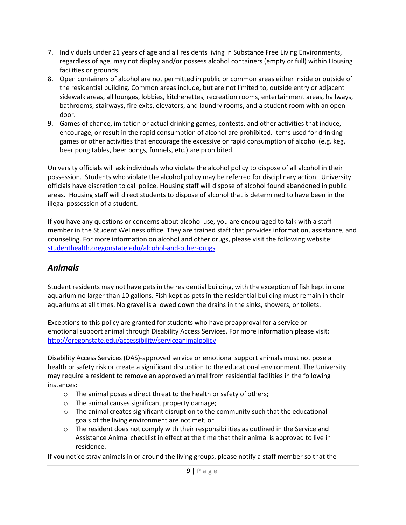- 7. Individuals under 21 years of age and all residents living in Substance Free Living Environments, regardless of age, may not display and/or possess alcohol containers (empty or full) within Housing facilities or grounds.
- 8. Open containers of alcohol are not permitted in public or common areas either inside or outside of the residential building. Common areas include, but are not limited to, outside entry or adjacent sidewalk areas, all lounges, lobbies, kitchenettes, recreation rooms, entertainment areas, hallways, bathrooms, stairways, fire exits, elevators, and laundry rooms, and a student room with an open door.
- 9. Games of chance, imitation or actual drinking games, contests, and other activities that induce, encourage, or result in the rapid consumption of alcohol are prohibited. Items used for drinking games or other activities that encourage the excessive or rapid consumption of alcohol (e.g. keg, beer pong tables, beer bongs, funnels, etc.) are prohibited.

University officials will ask individuals who violate the alcohol policy to dispose of all alcohol in their possession. Students who violate the alcohol policy may be referred for disciplinary action. University officials have discretion to call police. Housing staff will dispose of alcohol found abandoned in public areas. Housing staff will direct students to dispose of alcohol that is determined to have been in the illegal possession of a student.

If you have any questions or concerns about alcohol use, you are encouraged to talk with a staff member in the Student Wellness office. They are trained staff that provides information, assistance, and counseling. For more information on alcohol and other drugs, please visit the following website: [studenthealth.oregonstate.edu/alcohol-and-other-drugs](http://studenthealth.oregonstate.edu/alcohol-and-other-drugs)

#### <span id="page-9-0"></span>*Animals*

Student residents may not have pets in the residential building, with the exception of fish kept in one aquarium no larger than 10 gallons. Fish kept as pets in the residential building must remain in their aquariums at all times. No gravel is allowed down the drains in the sinks, showers, or toilets.

Exceptions to this policy are granted for students who have preapproval for a service or emotional support animal through Disability Access Services. For more information please visit: <http://oregonstate.edu/accessibility/serviceanimalpolicy>

Disability Access Services (DAS)-approved service or emotional support animals must not pose a health or safety risk or create a significant disruption to the educational environment. The University may require a resident to remove an approved animal from residential facilities in the following instances:

- o The animal poses a direct threat to the health or safety of others;
- o The animal causes significant property damage;
- $\circ$  The animal creates significant disruption to the community such that the educational goals of the living environment are not met; or
- $\circ$  The resident does not comply with their responsibilities as outlined in the Service and Assistance Animal checklist in effect at the time that their animal is approved to live in residence.

If you notice stray animals in or around the living groups, please notify a staff member so that the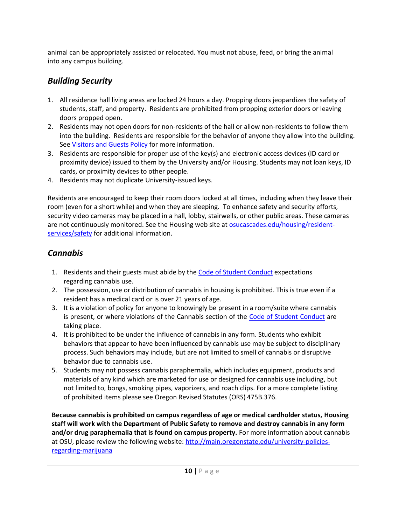animal can be appropriately assisted or relocated. You must not abuse, feed, or bring the animal into any campus building.

#### <span id="page-10-0"></span>*Building Security*

- 1. All residence hall living areas are locked 24 hours a day. Propping doors jeopardizes the safety of students, staff, and property. Residents are prohibited from propping exterior doors or leaving doors propped open.
- 2. Residents may not open doors for non-residents of the hall or allow non-residents to follow them into the building. Residents are responsible for the behavior of anyone they allow into the building. Se[e Visitors and Guests Policy](#page-20-2) for more information.
- 3. Residents are responsible for proper use of the key(s) and electronic access devices (ID card or proximity device) issued to them by the University and/or Housing. Students may not loan keys, ID cards, or proximity devices to other people.
- 4. Residents may not duplicate University-issued keys.

Residents are encouraged to keep their room doors locked at all times, including when they leave their room (even for a short while) and when they are sleeping. To enhance safety and security efforts, security video cameras may be placed in a hall, lobby, stairwells, or other public areas. These cameras are not continuously monitored. See the Housing web site at **osucascades.edu/housing/resident**[services/safety](http://osucascades.edu/uhds/resident-services/safety) for additional information.

#### <span id="page-10-1"></span>*Cannabis*

- 1. Residents and their guests must abide by the [Code of Student Conduct](https://studentlife.oregonstate.edu/sites/studentlife.oregonstate.edu/files/final_code_of_student_conduct_updated_1_25_18.pdf) expectations regarding cannabis use.
- 2. The possession, use or distribution of cannabis in housing is prohibited. This is true even if a resident has a medical card or is over 21 years of age.
- 3. It is a violation of policy for anyone to knowingly be present in a room/suite where cannabis is present, or where violations of the Cannabis section of the [Code of Student Conduct](https://studentlife.oregonstate.edu/sites/studentlife.oregonstate.edu/files/final_code_of_student_conduct_updated_1_25_18.pdf) are taking place.
- 4. It is prohibited to be under the influence of cannabis in any form. Students who exhibit behaviors that appear to have been influenced by cannabis use may be subject to disciplinary process. Such behaviors may include, but are not limited to smell of cannabis or disruptive behavior due to cannabis use.
- 5. Students may not possess cannabis paraphernalia, which includes equipment, products and materials of any kind which are marketed for use or designed for cannabis use including, but not limited to, bongs, smoking pipes, vaporizers, and roach clips. For a more complete listing of prohibited items please see Oregon Revised Statutes (ORS) 475B.376.

**Because cannabis is prohibited on campus regardless of age or medical cardholder status, Housing staff will work with the Department of Public Safety to remove and destroy cannabis in any form and/or drug paraphernalia that is found on campus property.** For more information about cannabis at OSU, please review the following website[: http://main.oregonstate.edu/university-policies](http://main.oregonstate.edu/university-policies-regarding-marijuana)[regarding-marijuana](http://main.oregonstate.edu/university-policies-regarding-marijuana)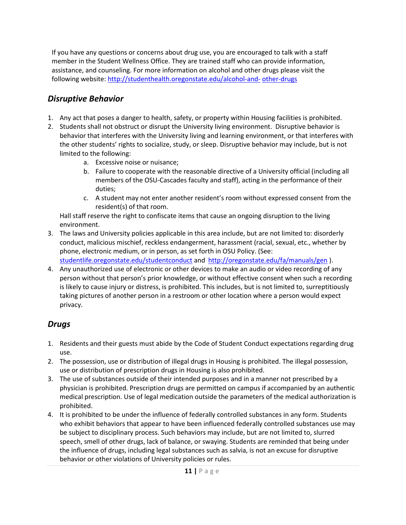If you have any questions or concerns about drug use, you are encouraged to talk with a staff member in the Student Wellness Office. They are trained staff who can provide information, assistance, and counseling. For more information on alcohol and other drugs please visit the following website: [http://studenthealth.oregonstate.edu/alcohol-and-](http://studenthealth.oregonstate.edu/alcohol-and-other-drugs) [other-drugs](http://studenthealth.oregonstate.edu/alcohol-and-other-drugs)

#### <span id="page-11-0"></span>*Disruptive Behavior*

- 1. Any act that poses a danger to health, safety, or property within Housing facilities is prohibited.
- 2. Students shall not obstruct or disrupt the University living environment. Disruptive behavior is behavior that interferes with the University living and learning environment, or that interferes with the other students' rights to socialize, study, or sleep. Disruptive behavior may include, but is not limited to the following:
	- a. Excessive noise or nuisance;
	- b. Failure to cooperate with the reasonable directive of a University official (including all members of the OSU-Cascades faculty and staff), acting in the performance of their duties;
	- c. A student may not enter another resident's room without expressed consent from the resident(s) of that room.

Hall staff reserve the right to confiscate items that cause an ongoing disruption to the living environment.

3. The laws and University policies applicable in this area include, but are not limited to: disorderly conduct, malicious mischief, reckless endangerment, harassment (racial, sexual, etc., whether by phone, electronic medium, or in person, as set forth in OSU Policy. (See:

[studentlife.oregonstate.edu/studentconduct](http://studentlife.oregonstate.edu/studentconduct) and<http://oregonstate.edu/fa/manuals/gen> ).

4. Any unauthorized use of electronic or other devices to make an audio or video recording of any person without that person's prior knowledge, or without effective consent when such a recording is likely to cause injury or distress, is prohibited. This includes, but is not limited to, surreptitiously taking pictures of another person in a restroom or other location where a person would expect privacy.

#### <span id="page-11-1"></span>*Drugs*

- 1. Residents and their guests must abide by the Code of Student Conduct expectations regarding drug use.
- 2. The possession, use or distribution of illegal drugs in Housing is prohibited. The illegal possession, use or distribution of prescription drugs in Housing is also prohibited.
- 3. The use of substances outside of their intended purposes and in a manner not prescribed by a physician is prohibited. Prescription drugs are permitted on campus if accompanied by an authentic medical prescription. Use of legal medication outside the parameters of the medical authorization is prohibited.
- 4. It is prohibited to be under the influence of federally controlled substances in any form. Students who exhibit behaviors that appear to have been influenced federally controlled substances use may be subject to disciplinary process. Such behaviors may include, but are not limited to, slurred speech, smell of other drugs, lack of balance, or swaying. Students are reminded that being under the influence of drugs, including legal substances such as salvia, is not an excuse for disruptive behavior or other violations of University policies or rules.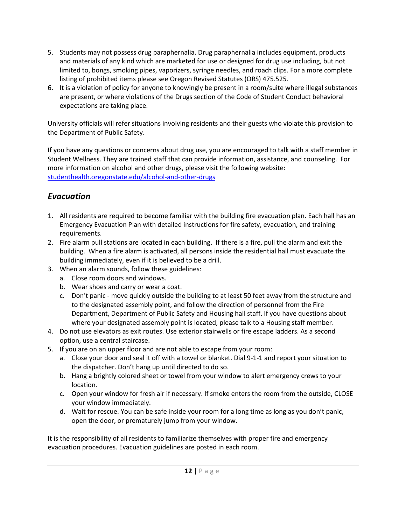- 5. Students may not possess drug paraphernalia. Drug paraphernalia includes equipment, products and materials of any kind which are marketed for use or designed for drug use including, but not limited to, bongs, smoking pipes, vaporizers, syringe needles, and roach clips. For a more complete listing of prohibited items please see Oregon Revised Statutes (ORS) 475.525.
- 6. It is a violation of policy for anyone to knowingly be present in a room/suite where illegal substances are present, or where violations of the Drugs section of the Code of Student Conduct behavioral expectations are taking place.

University officials will refer situations involving residents and their guests who violate this provision to the Department of Public Safety.

If you have any questions or concerns about drug use, you are encouraged to talk with a staff member in Student Wellness. They are trained staff that can provide information, assistance, and counseling. For more information on alcohol and other drugs, please visit the following website: [studenthealth.oregonstate.edu/alcohol-and-other-drugs](http://studenthealth.oregonstate.edu/alcohol-and-other-drugs)

#### <span id="page-12-0"></span>*Evacuation*

- 1. All residents are required to become familiar with the building fire evacuation plan. Each hall has an Emergency Evacuation Plan with detailed instructions for fire safety, evacuation, and training requirements.
- 2. Fire alarm pull stations are located in each building. If there is a fire, pull the alarm and exit the building. When a fire alarm is activated, all persons inside the residential hall must evacuate the building immediately, even if it is believed to be a drill.
- 3. When an alarm sounds, follow these guidelines:
	- a. Close room doors and windows.
	- b. Wear shoes and carry or wear a coat.
	- c. Don't panic move quickly outside the building to at least 50 feet away from the structure and to the designated assembly point, and follow the direction of personnel from the Fire Department, Department of Public Safety and Housing hall staff. If you have questions about where your designated assembly point is located, please talk to a Housing staff member.
- 4. Do not use elevators as exit routes. Use exterior stairwells or fire escape ladders. As a second option, use a central staircase.
- 5. If you are on an upper floor and are not able to escape from your room:
	- a. Close your door and seal it off with a towel or blanket. Dial 9-1-1 and report your situation to the dispatcher. Don't hang up until directed to do so.
	- b. Hang a brightly colored sheet or towel from your window to alert emergency crews to your location.
	- c. Open your window for fresh air if necessary. If smoke enters the room from the outside, CLOSE your window immediately.
	- d. Wait for rescue. You can be safe inside your room for a long time as long as you don't panic, open the door, or prematurely jump from your window.

It is the responsibility of all residents to familiarize themselves with proper fire and emergency evacuation procedures. Evacuation guidelines are posted in each room.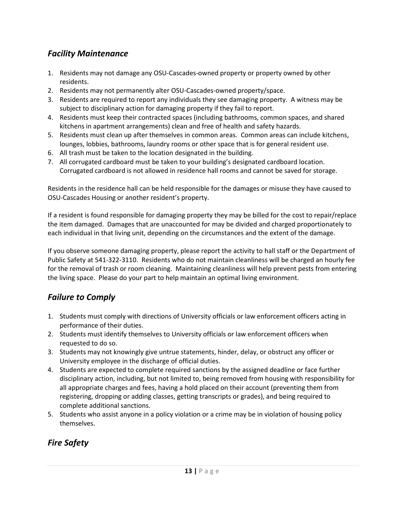#### <span id="page-13-0"></span>*Facility Maintenance*

- 1. Residents may not damage any OSU-Cascades-owned property or property owned by other residents.
- 2. Residents may not permanently alter OSU-Cascades-owned property/space.
- 3. Residents are required to report any individuals they see damaging property. A witness may be subject to disciplinary action for damaging property if they fail to report.
- 4. Residents must keep their contracted spaces (including bathrooms, common spaces, and shared kitchens in apartment arrangements) clean and free of health and safety hazards.
- 5. Residents must clean up after themselves in common areas. Common areas can include kitchens, lounges, lobbies, bathrooms, laundry rooms or other space that is for general resident use.
- 6. All trash must be taken to the location designated in the building.
- 7. All corrugated cardboard must be taken to your building's designated cardboard location. Corrugated cardboard is not allowed in residence hall rooms and cannot be saved for storage.

Residents in the residence hall can be held responsible for the damages or misuse they have caused to OSU-Cascades Housing or another resident's property.

If a resident is found responsible for damaging property they may be billed for the cost to repair/replace the item damaged. Damages that are unaccounted for may be divided and charged proportionately to each individual in that living unit, depending on the circumstances and the extent of the damage.

If you observe someone damaging property, please report the activity to hall staff or the Department of Public Safety at 541-322-3110. Residents who do not maintain cleanliness will be charged an hourly fee for the removal of trash or room cleaning. Maintaining cleanliness will help prevent pests from entering the living space. Please do your part to help maintain an optimal living environment.

#### <span id="page-13-1"></span>*Failure to Comply*

- 1. Students must comply with directions of University officials or law enforcement officers acting in performance of their duties.
- 2. Students must identify themselves to University officials or law enforcement officers when requested to do so.
- 3. Students may not knowingly give untrue statements, hinder, delay, or obstruct any officer or University employee in the discharge of official duties.
- 4. Students are expected to complete required sanctions by the assigned deadline or face further disciplinary action, including, but not limited to, being removed from housing with responsibility for all appropriate charges and fees, having a hold placed on their account (preventing them from registering, dropping or adding classes, getting transcripts or grades), and being required to complete additional sanctions.
- 5. Students who assist anyone in a policy violation or a crime may be in violation of housing policy themselves.

#### <span id="page-13-2"></span>*Fire Safety*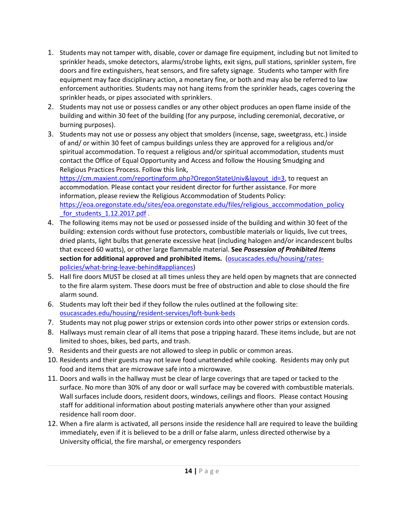- 1. Students may not tamper with, disable, cover or damage fire equipment, including but not limited to sprinkler heads, smoke detectors, alarms/strobe lights, exit signs, pull stations, sprinkler system, fire doors and fire extinguishers, heat sensors, and fire safety signage. Students who tamper with fire equipment may face disciplinary action, a monetary fine, or both and may also be referred to law enforcement authorities. Students may not hang items from the sprinkler heads, cages covering the sprinkler heads, or pipes associated with sprinklers.
- 2. Students may not use or possess candles or any other object produces an open flame inside of the building and within 30 feet of the building (for any purpose, including ceremonial, decorative, or burning purposes).
- 3. Students may not use or possess any object that smolders (incense, sage, sweetgrass, etc.) inside of and/ or within 30 feet of campus buildings unless they are approved for a religious and/or spiritual accommodation. To request a religious and/or spiritual accommodation, students must contact the Office of Equal Opportunity and Access and follow the Housing Smudging and Religious Practices Process. Follow this link,

[https://cm.maxient.com/reportingform.php?OregonStateUniv&layout\\_id=3,](https://cm.maxient.com/reportingform.php?OregonStateUniv&layout_id=3) to request an accommodation. Please contact your resident director for further assistance. For more information, please review the Religious Accommodation of Students Policy: [https://eoa.oregonstate.edu/sites/eoa.oregonstate.edu/files/religious\\_acccommodation\\_policy](https://eoa.oregonstate.edu/sites/eoa.oregonstate.edu/files/religious_acccommodation_policy_for_students_1.12.2017.pdf) for students 1.12.2017.pdf .

- 4. The following items may not be used or possessed inside of the building and within 30 feet of the building: extension cords without fuse protectors, combustible materials or liquids, live cut trees, dried plants, light bulbs that generate excessive heat (including halogen and/or incandescent bulbs that exceed 60 watts), or other large flammable material. **See** *Possession of Prohibited Items*  **section for additional approved and prohibited items.** [\(osucascades.edu/housing/rates](http://osucascades.edu/uhds/rates-policies/what-bring-leave-behind#appliances)[policies/what-bring-leave-behind#appliances\)](http://osucascades.edu/uhds/rates-policies/what-bring-leave-behind#appliances)
- 5. Hall fire doors MUST be closed at all times unless they are held open by magnets that are connected to the fire alarm system. These doors must be free of obstruction and able to close should the fire alarm sound.
- 6. Students may loft their bed if they follow the rules outlined at the following site: [osucascades.edu/housing/resident-services/loft-bunk-beds](http://osucascades.edu/uhds/resident-services/loft-bunk-beds)
- 7. Students may not plug power strips or extension cords into other power strips or extension cords.
- 8. Hallways must remain clear of all items that pose a tripping hazard. These items include, but are not limited to shoes, bikes, bed parts, and trash.
- 9. Residents and their guests are not allowed to sleep in public or common areas.
- 10. Residents and their guests may not leave food unattended while cooking. Residents may only put food and items that are microwave safe into a microwave.
- 11. Doors and walls in the hallway must be clear of large coverings that are taped or tacked to the surface. No more than 30% of any door or wall surface may be covered with combustible materials. Wall surfaces include doors, resident doors, windows, ceilings and floors. Please contact Housing staff for additional information about posting materials anywhere other than your assigned residence hall room door.
- 12. When a fire alarm is activated, all persons inside the residence hall are required to leave the building immediately, even if it is believed to be a drill or false alarm, unless directed otherwise by a University official, the fire marshal, or emergency responders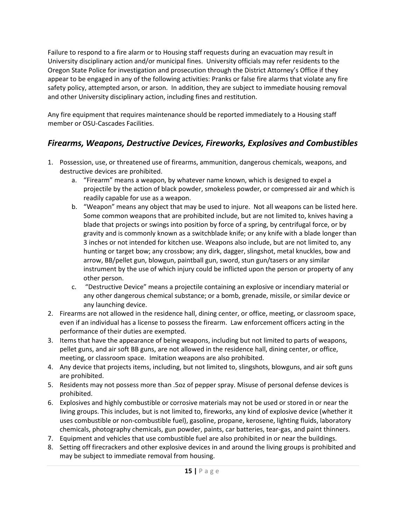Failure to respond to a fire alarm or to Housing staff requests during an evacuation may result in University disciplinary action and/or municipal fines. University officials may refer residents to the Oregon State Police for investigation and prosecution through the District Attorney's Office if they appear to be engaged in any of the following activities: Pranks or false fire alarms that violate any fire safety policy, attempted arson, or arson. In addition, they are subject to immediate housing removal and other University disciplinary action, including fines and restitution.

Any fire equipment that requires maintenance should be reported immediately to a Housing staff member or OSU-Cascades Facilities.

#### <span id="page-15-0"></span>*Firearms, Weapons, Destructive Devices, Fireworks, Explosives and Combustibles*

- 1. Possession, use, or threatened use of firearms, ammunition, dangerous chemicals, weapons, and destructive devices are prohibited.
	- a. "Firearm" means a weapon, by whatever name known, which is designed to expel a projectile by the action of black powder, smokeless powder, or compressed air and which is readily capable for use as a weapon.
	- b. "Weapon" means any object that may be used to injure. Not all weapons can be listed here. Some common weapons that are prohibited include, but are not limited to, knives having a blade that projects or swings into position by force of a spring, by centrifugal force, or by gravity and is commonly known as a switchblade knife; or any knife with a blade longer than 3 inches or not intended for kitchen use. Weapons also include, but are not limited to, any hunting or target bow; any crossbow; any dirk, dagger, slingshot, metal knuckles, bow and arrow, BB/pellet gun, blowgun, paintball gun, sword, stun gun/tasers or any similar instrument by the use of which injury could be inflicted upon the person or property of any other person.
	- c. "Destructive Device" means a projectile containing an explosive or incendiary material or any other dangerous chemical substance; or a bomb, grenade, missile, or similar device or any launching device.
- 2. Firearms are not allowed in the residence hall, dining center, or office, meeting, or classroom space, even if an individual has a license to possess the firearm. Law enforcement officers acting in the performance of their duties are exempted.
- 3. Items that have the appearance of being weapons, including but not limited to parts of weapons, pellet guns, and air soft BB guns, are not allowed in the residence hall, dining center, or office, meeting, or classroom space. Imitation weapons are also prohibited.
- 4. Any device that projects items, including, but not limited to, slingshots, blowguns, and air soft guns are prohibited.
- 5. Residents may not possess more than .5oz of pepper spray. Misuse of personal defense devices is prohibited.
- 6. Explosives and highly combustible or corrosive materials may not be used or stored in or near the living groups. This includes, but is not limited to, fireworks, any kind of explosive device (whether it uses combustible or non-combustible fuel), gasoline, propane, kerosene, lighting fluids, laboratory chemicals, photography chemicals, gun powder, paints, car batteries, tear-gas, and paint thinners.
- 7. Equipment and vehicles that use combustible fuel are also prohibited in or near the buildings.
- 8. Setting off firecrackers and other explosive devices in and around the living groups is prohibited and may be subject to immediate removal from housing.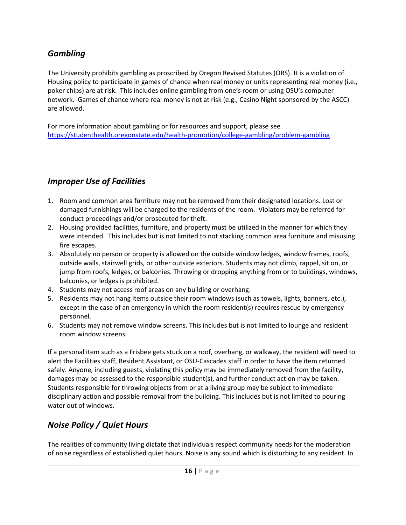#### <span id="page-16-0"></span>*Gambling*

The University prohibits gambling as proscribed by Oregon Revised Statutes (ORS). It is a violation of Housing policy to participate in games of chance when real money or units representing real money (i.e., poker chips) are at risk. This includes online gambling from one's room or using OSU's computer network. Games of chance where real money is not at risk (e.g., Casino Night sponsored by the ASCC) are allowed.

For more information about gambling or for resources and support, please see <https://studenthealth.oregonstate.edu/health-promotion/college-gambling/problem-gambling>

#### <span id="page-16-1"></span>*Improper Use of Facilities*

- 1. Room and common area furniture may not be removed from their designated locations. Lost or damaged furnishings will be charged to the residents of the room. Violators may be referred for conduct proceedings and/or prosecuted for theft.
- 2. Housing provided facilities, furniture, and property must be utilized in the manner for which they were intended. This includes but is not limited to not stacking common area furniture and misusing fire escapes.
- 3. Absolutely no person or property is allowed on the outside window ledges, window frames, roofs, outside walls, stairwell grids, or other outside exteriors. Students may not climb, rappel, sit on, or jump from roofs, ledges, or balconies. Throwing or dropping anything from or to buildings, windows, balconies, or ledges is prohibited.
- 4. Students may not access roof areas on any building or overhang.
- 5. Residents may not hang items outside their room windows (such as towels, lights, banners, etc.), except in the case of an emergency in which the room resident(s) requires rescue by emergency personnel.
- 6. Students may not remove window screens. This includes but is not limited to lounge and resident room window screens.

If a personal item such as a Frisbee gets stuck on a roof, overhang, or walkway, the resident will need to alert the Facilities staff, Resident Assistant, or OSU-Cascades staff in order to have the item returned safely. Anyone, including guests, violating this policy may be immediately removed from the facility, damages may be assessed to the responsible student(s), and further conduct action may be taken. Students responsible for throwing objects from or at a living group may be subject to immediate disciplinary action and possible removal from the building. This includes but is not limited to pouring water out of windows.

#### <span id="page-16-2"></span>*Noise Policy / Quiet Hours*

The realities of community living dictate that individuals respect community needs for the moderation of noise regardless of established quiet hours. Noise is any sound which is disturbing to any resident. In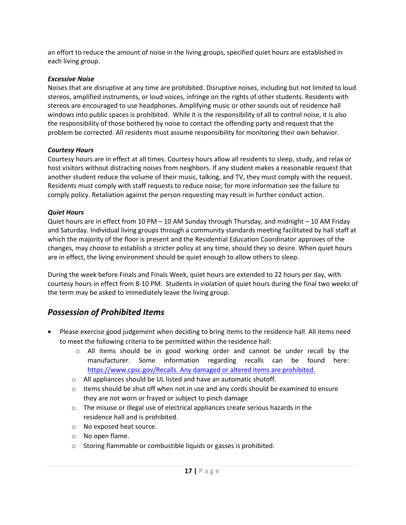an effort to reduce the amount of noise in the living groups, specified quiet hours are established in each living group.

#### *Excessive Noise*

Noises that are disruptive at any time are prohibited. Disruptive noises, including but not limited to loud stereos, amplified instruments, or loud voices, infringe on the rights of other students. Residents with stereos are encouraged to use headphones. Amplifying music or other sounds out of residence hall windows into public spaces is prohibited. While it is the responsibility of all to control noise, it is also the responsibility of those bothered by noise to contact the offending party and request that the problem be corrected. All residents must assume responsibility for monitoring their own behavior.

#### *Courtesy Hours*

Courtesy hours are in effect at all times. Courtesy hours allow all residents to sleep, study, and relax or host visitors without distracting noises from neighbors. If any student makes a reasonable request that another student reduce the volume of their music, talking, and TV, they must comply with the request. Residents must comply with staff requests to reduce noise; for more information see the failure to comply policy. Retaliation against the person requesting may result in further conduct action.

#### *Quiet Hours*

Quiet hours are in effect from 10 PM – 10 AM Sunday through Thursday, and midnight – 10 AM Friday and Saturday. Individual living groups through a community standards meeting facilitated by hall staff at which the majority of the floor is present and the Residential Education Coordinator approves of the changes, may choose to establish a stricter policy at any time, should they so desire. When quiet hours are in effect, the living environment should be quiet enough to allow others to sleep.

During the week before Finals and Finals Week, quiet hours are extended to 22 hours per day, with courtesy hours in effect from 8-10 PM. Students in violation of quiet hours during the final two weeks of the term may be asked to immediately leave the living group.

#### <span id="page-17-0"></span>*Possession of Prohibited Items*

- Please exercise good judgement when deciding to bring items to the residence hall. All items need to meet the following criteria to be permitted within the residence hall:
	- $\circ$  All items should be in good working order and cannot be under recall by the manufacturer. Some information regarding recalls can be found here: https://www.cpsc.gov/Recalls. [Any damaged or altered items are](https://www.cpsc.gov/Recalls.%20Any%20damaged%20or%20altered%20items%20are%20prohibited.) prohibited.
	- o All appliances should be UL listed and have an automatic shutoff.
	- $\circ$  Items should be shut off when not in use and any cords should be examined to ensure they are not worn or frayed or subject to pinch damage
	- o The misuse or illegal use of electrical appliances create serious hazards in the residence hall and is prohibited.
	- o No exposed heat source.
	- o No open flame.
	- o Storing flammable or combustible liquids or gasses is prohibited.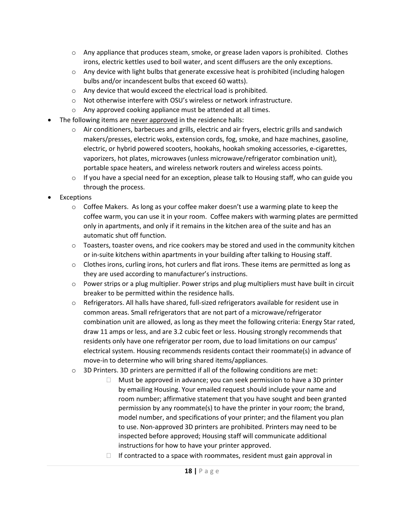- $\circ$  Any appliance that produces steam, smoke, or grease laden vapors is prohibited. Clothes irons, electric kettles used to boil water, and scent diffusers are the only exceptions.
- $\circ$  Any device with light bulbs that generate excessive heat is prohibited (including halogen bulbs and/or incandescent bulbs that exceed 60 watts).
- o Any device that would exceed the electrical load is prohibited.
- o Not otherwise interfere with OSU's wireless or network infrastructure.
- o Any approved cooking appliance must be attended at all times.
- The following items are never approved in the residence halls:
	- $\circ$  Air conditioners, barbecues and grills, electric and air fryers, electric grills and sandwich makers/presses, electric woks, extension cords, fog, smoke, and haze machines, gasoline, electric, or hybrid powered scooters, hookahs, hookah smoking accessories, e-cigarettes, vaporizers, hot plates, microwaves (unless microwave/refrigerator combination unit), portable space heaters, and wireless network routers and wireless access points.
	- $\circ$  If you have a special need for an exception, please talk to Housing staff, who can guide you through the process.
- **Exceptions** 
	- $\circ$  Coffee Makers. As long as your coffee maker doesn't use a warming plate to keep the coffee warm, you can use it in your room. Coffee makers with warming plates are permitted only in apartments, and only if it remains in the kitchen area of the suite and has an automatic shut off function.
	- $\circ$  Toasters, toaster ovens, and rice cookers may be stored and used in the community kitchen or in-suite kitchens within apartments in your building after talking to Housing staff.
	- $\circ$  Clothes irons, curling irons, hot curlers and flat irons. These items are permitted as long as they are used according to manufacturer's instructions.
	- $\circ$  Power strips or a plug multiplier. Power strips and plug multipliers must have built in circuit breaker to be permitted within the residence halls.
	- o Refrigerators. All halls have shared, full-sized refrigerators available for resident use in common areas. Small refrigerators that are not part of a microwave/refrigerator combination unit are allowed, as long as they meet the following criteria: Energy Star rated, draw 11 amps or less, and are 3.2 cubic feet or less. Housing strongly recommends that residents only have one refrigerator per room, due to load limitations on our campus' electrical system. Housing recommends residents contact their roommate(s) in advance of move-in to determine who will bring shared items/appliances.
	- $\circ$  3D Printers. 3D printers are permitted if all of the following conditions are met:
		- $\Box$  Must be approved in advance; you can seek permission to have a 3D printer by emailing Housing. Your emailed request should include your name and room number; affirmative statement that you have sought and been granted permission by any roommate(s) to have the printer in your room; the brand, model number, and specifications of your printer; and the filament you plan to use. Non-approved 3D printers are prohibited. Printers may need to be inspected before approved; Housing staff will communicate additional instructions for how to have your printer approved.
		- $\Box$  If contracted to a space with roommates, resident must gain approval in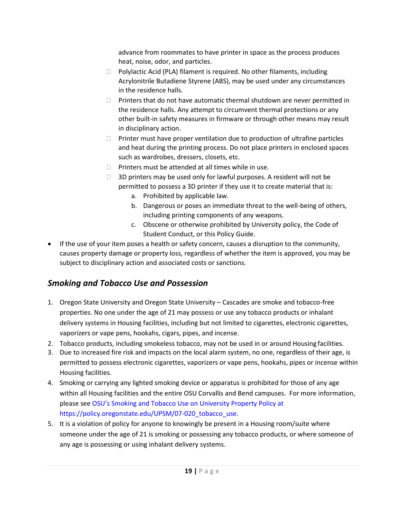advance from roommates to have printer in space as the process produces heat, noise, odor, and particles.

- $\Box$  Polylactic Acid (PLA) filament is required. No other filaments, including Acrylonitrile Butadiene Styrene (ABS), may be used under any circumstances in the residence halls.
- $\Box$  Printers that do not have automatic thermal shutdown are never permitted in the residence halls. Any attempt to circumvent thermal protections or any other built-in safety measures in firmware or through other means may result in disciplinary action.
- $\Box$  Printer must have proper ventilation due to production of ultrafine particles and heat during the printing process. Do not place printers in enclosed spaces such as wardrobes, dressers, closets, etc.
- $\Box$  Printers must be attended at all times while in use.
- $\Box$  3D printers may be used only for lawful purposes. A resident will not be permitted to possess a 3D printer if they use it to create material that is:
	- a. Prohibited by applicable law.
	- b. Dangerous or poses an immediate threat to the well-being of others, including printing components of any weapons.
	- c. Obscene or otherwise prohibited by University policy, the Code of Student Conduct, or this Policy Guide.
- If the use of your item poses a health or safety concern, causes a disruption to the community, causes property damage or property loss, regardless of whether the item is approved, you may be subject to disciplinary action and associated costs or sanctions.

#### <span id="page-19-0"></span>*Smoking and Tobacco Use and Possession*

- 1. Oregon State University and Oregon State University Cascades are smoke and tobacco-free properties. No one under the age of 21 may possess or use any tobacco products or inhalant delivery systems in Housing facilities, including but not limited to cigarettes, electronic cigarettes, vaporizers or vape pens, hookahs, cigars, pipes, and incense.
- 2. Tobacco products, including smokeless tobacco, may not be used in or around Housing facilities.
- 3. Due to increased fire risk and impacts on the local alarm system, no one, regardless of their age, is permitted to possess electronic cigarettes, vaporizers or vape pens, hookahs, pipes or incense within Housing facilities.
- 4. Smoking or carrying any lighted smoking device or apparatus is prohibited for those of any age within all Housing facilities and the entire OSU Corvallis and Bend campuses. For more information, please see OSU's Smoking and Tobacco Use on University Property Policy at https://policy.oregonstate.edu/UPSM/07-020 tobacco use.
- 5. It is a violation of policy for anyone to knowingly be present in a Housing room/suite where someone under the age of 21 is smoking or possessing any tobacco products, or where someone of any age is possessing or using inhalant delivery systems.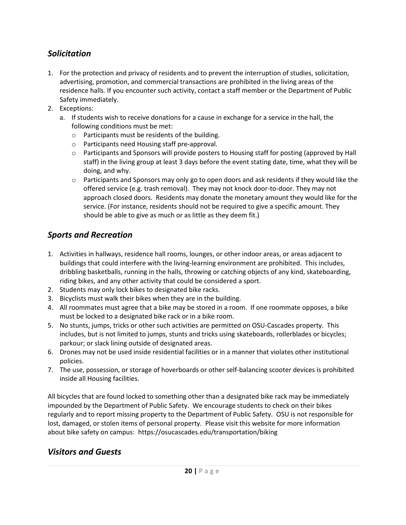#### <span id="page-20-0"></span>*Solicitation*

- 1. For the protection and privacy of residents and to prevent the interruption of studies, solicitation, advertising, promotion, and commercial transactions are prohibited in the living areas of the residence halls. If you encounter such activity, contact a staff member or the Department of Public Safety immediately.
- 2. Exceptions:
	- a. If students wish to receive donations for a cause in exchange for a service in the hall, the following conditions must be met:
		- o Participants must be residents of the building.
		- o Participants need Housing staff pre-approval.
		- o Participants and Sponsors will provide posters to Housing staff for posting (approved by Hall staff) in the living group at least 3 days before the event stating date, time, what they will be doing, and why.
		- $\circ$  Participants and Sponsors may only go to open doors and ask residents if they would like the offered service (e.g. trash removal). They may not knock door-to-door. They may not approach closed doors. Residents may donate the monetary amount they would like for the service. (For instance, residents should not be required to give a specific amount. They should be able to give as much or as little as they deem fit.)

#### <span id="page-20-1"></span>*Sports and Recreation*

- 1. Activities in hallways, residence hall rooms, lounges, or other indoor areas, or areas adjacent to buildings that could interfere with the living-learning environment are prohibited. This includes, dribbling basketballs, running in the halls, throwing or catching objects of any kind, skateboarding, riding bikes, and any other activity that could be considered a sport.
- 2. Students may only lock bikes to designated bike racks.
- 3. Bicyclists must walk their bikes when they are in the building.
- 4. All roommates must agree that a bike may be stored in a room. If one roommate opposes, a bike must be locked to a designated bike rack or in a bike room.
- 5. No stunts, jumps, tricks or other such activities are permitted on OSU-Cascades property. This includes, but is not limited to jumps, stunts and tricks using skateboards, rollerblades or bicycles; parkour; or slack lining outside of designated areas.
- 6. Drones may not be used inside residential facilities or in a manner that violates other institutional policies.
- 7. The use, possession, or storage of hoverboards or other self-balancing scooter devices is prohibited inside all Housing facilities.

All bicycles that are found locked to something other than a designated bike rack may be immediately impounded by the Department of Public Safety. We encourage students to check on their bikes regularly and to report missing property to the Department of Public Safety. OSU is not responsible for lost, damaged, or stolen items of personal property. Please visit this website for more information about bike safety on campus: https://osucascades.edu/transportation/biking

#### <span id="page-20-2"></span>*Visitors and Guests*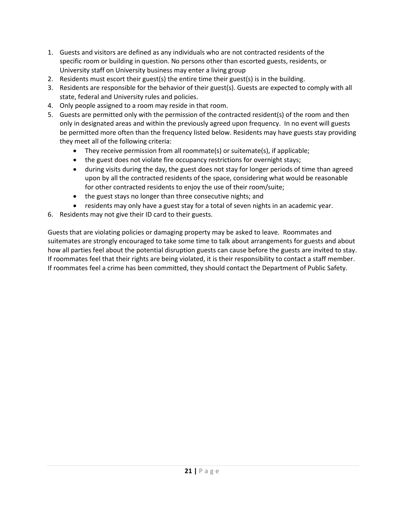- 1. Guests and visitors are defined as any individuals who are not contracted residents of the specific room or building in question. No persons other than escorted guests, residents, or University staff on University business may enter a living group
- 2. Residents must escort their guest(s) the entire time their guest(s) is in the building.
- 3. Residents are responsible for the behavior of their guest(s). Guests are expected to comply with all state, federal and University rules and policies.
- 4. Only people assigned to a room may reside in that room.
- 5. Guests are permitted only with the permission of the contracted resident(s) of the room and then only in designated areas and within the previously agreed upon frequency. In no event will guests be permitted more often than the frequency listed below. Residents may have guests stay providing they meet all of the following criteria:
	- They receive permission from all roommate(s) or suitemate(s), if applicable;
	- the guest does not violate fire occupancy restrictions for overnight stays;
	- during visits during the day, the guest does not stay for longer periods of time than agreed upon by all the contracted residents of the space, considering what would be reasonable for other contracted residents to enjoy the use of their room/suite;
	- the guest stays no longer than three consecutive nights; and
	- residents may only have a guest stay for a total of seven nights in an academic year.
- 6. Residents may not give their ID card to their guests.

Guests that are violating policies or damaging property may be asked to leave. Roommates and suitemates are strongly encouraged to take some time to talk about arrangements for guests and about how all parties feel about the potential disruption guests can cause before the guests are invited to stay. If roommates feel that their rights are being violated, it is their responsibility to contact a staff member. If roommates feel a crime has been committed, they should contact the Department of Public Safety.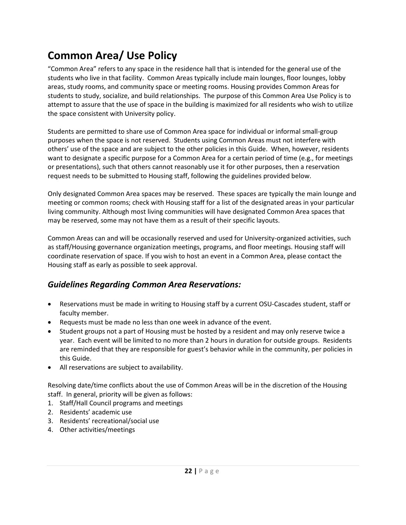## <span id="page-22-0"></span>**Common Area/ Use Policy**

"Common Area" refers to any space in the residence hall that is intended for the general use of the students who live in that facility. Common Areas typically include main lounges, floor lounges, lobby areas, study rooms, and community space or meeting rooms. Housing provides Common Areas for students to study, socialize, and build relationships. The purpose of this Common Area Use Policy is to attempt to assure that the use of space in the building is maximized for all residents who wish to utilize the space consistent with University policy.

Students are permitted to share use of Common Area space for individual or informal small-group purposes when the space is not reserved. Students using Common Areas must not interfere with others' use of the space and are subject to the other policies in this Guide. When, however, residents want to designate a specific purpose for a Common Area for a certain period of time (e.g., for meetings or presentations), such that others cannot reasonably use it for other purposes, then a reservation request needs to be submitted to Housing staff, following the guidelines provided below.

Only designated Common Area spaces may be reserved. These spaces are typically the main lounge and meeting or common rooms; check with Housing staff for a list of the designated areas in your particular living community. Although most living communities will have designated Common Area spaces that may be reserved, some may not have them as a result of their specific layouts.

Common Areas can and will be occasionally reserved and used for University-organized activities, such as staff/Housing governance organization meetings, programs, and floor meetings. Housing staff will coordinate reservation of space. If you wish to host an event in a Common Area, please contact the Housing staff as early as possible to seek approval.

#### <span id="page-22-1"></span>*Guidelines Regarding Common Area Reservations:*

- Reservations must be made in writing to Housing staff by a current OSU-Cascades student, staff or faculty member.
- Requests must be made no less than one week in advance of the event.
- Student groups not a part of Housing must be hosted by a resident and may only reserve twice a year. Each event will be limited to no more than 2 hours in duration for outside groups. Residents are reminded that they are responsible for guest's behavior while in the community, per policies in this Guide.
- All reservations are subject to availability.

Resolving date/time conflicts about the use of Common Areas will be in the discretion of the Housing staff. In general, priority will be given as follows:

- 1. Staff/Hall Council programs and meetings
- 2. Residents' academic use
- 3. Residents' recreational/social use
- 4. Other activities/meetings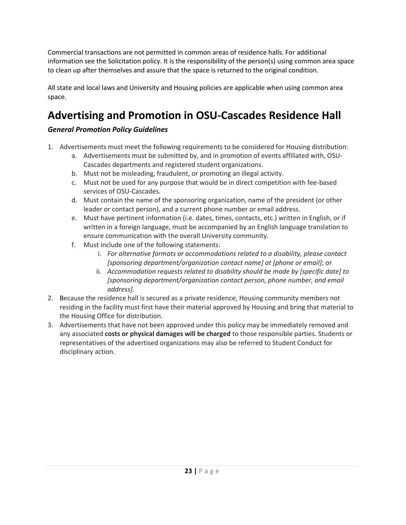Commercial transactions are not permitted in common areas of residence halls. For additional information see the Solicitation policy. It is the responsibility of the person(s) using common area space to clean up after themselves and assure that the space is returned to the original condition.

All state and local laws and University and Housing policies are applicable when using common area space.

## <span id="page-23-0"></span>**Advertising and Promotion in OSU-Cascades Residence Hall**

#### *General Promotion Policy Guidelines*

- 1. Advertisements must meet the following requirements to be considered for Housing distribution:
	- a. Advertisements must be submitted by, and in promotion of events affiliated with, OSU-Cascades departments and registered student organizations.
	- b. Must not be misleading, fraudulent, or promoting an illegal activity.
	- c. Must not be used for any purpose that would be in direct competition with fee-based services of OSU-Cascades.
	- d. Must contain the name of the sponsoring organization, name of the president (or other leader or contact person), and a current phone number or email address.
	- e. Must have pertinent information (i.e. dates, times, contacts, etc.) written in English, or if written in a foreign language, must be accompanied by an English language translation to ensure communication with the overall University community.
	- f. Must include one of the following statements:
		- i. *For alternative formats or accommodations related to a disability, please contact [sponsoring department/organization contact name] at [phone or email]*; or
		- ii. *Accommodation requests related to disability should be made by [specific date] to [sponsoring department/organization contact person, phone number, and email address].*
- 2. Because the residence hall is secured as a private residence, Housing community members not residing in the facility must first have their material approved by Housing and bring that material to the Housing Office for distribution.
- 3. Advertisements that have not been approved under this policy may be immediately removed and any associated **costs or physical damages will be charged** to those responsible parties. Students or representatives of the advertised organizations may also be referred to Student Conduct for disciplinary action.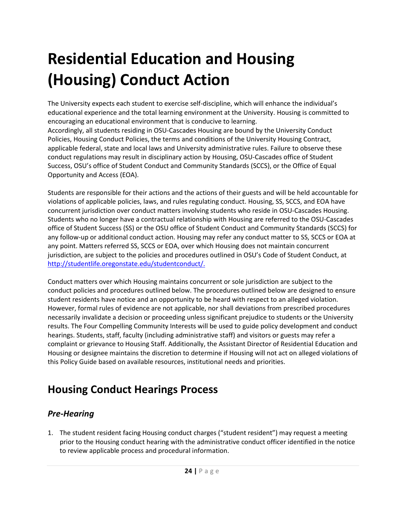## <span id="page-24-0"></span>**Residential Education and Housing (Housing) Conduct Action**

The University expects each student to exercise self-discipline, which will enhance the individual's educational experience and the total learning environment at the University. Housing is committed to encouraging an educational environment that is conducive to learning. Accordingly, all students residing in OSU-Cascades Housing are bound by the University Conduct Policies, Housing Conduct Policies, the terms and conditions of the University Housing Contract, applicable federal, state and local laws and University administrative rules. Failure to observe these conduct regulations may result in disciplinary action by Housing, OSU-Cascades office of Student Success, OSU's office of Student Conduct and Community Standards (SCCS), or the Office of Equal Opportunity and Access (EOA).

Students are responsible for their actions and the actions of their guests and will be held accountable for violations of applicable policies, laws, and rules regulating conduct. Housing, SS, SCCS, and EOA have concurrent jurisdiction over conduct matters involving students who reside in OSU-Cascades Housing. Students who no longer have a contractual relationship with Housing are referred to the OSU-Cascades office of Student Success (SS) or the OSU office of Student Conduct and Community Standards (SCCS) for any follow-up or additional conduct action. Housing may refer any conduct matter to SS, SCCS or EOA at any point. Matters referred SS, SCCS or EOA, over which Housing does not maintain concurrent jurisdiction, are subject to the policies and procedures outlined in OSU's Code of Student Conduct, at [http://studentlife.oregonstate.edu/studentconduct/.](http://studentlife.oregonstate.edu/studentconduct/)

Conduct matters over which Housing maintains concurrent or sole jurisdiction are subject to the conduct policies and procedures outlined below. The procedures outlined below are designed to ensure student residents have notice and an opportunity to be heard with respect to an alleged violation. However, formal rules of evidence are not applicable, nor shall deviations from prescribed procedures necessarily invalidate a decision or proceeding unless significant prejudice to students or the University results. The Four Compelling Community Interests will be used to guide policy development and conduct hearings. Students, staff, faculty (including administrative staff) and visitors or guests may refer a complaint or grievance to Housing Staff. Additionally, the Assistant Director of Residential Education and Housing or designee maintains the discretion to determine if Housing will not act on alleged violations of this Policy Guide based on available resources, institutional needs and priorities.

## <span id="page-24-1"></span>**Housing Conduct Hearings Process**

#### <span id="page-24-2"></span>*Pre-Hearing*

1. The student resident facing Housing conduct charges ("student resident") may request a meeting prior to the Housing conduct hearing with the administrative conduct officer identified in the notice to review applicable process and procedural information.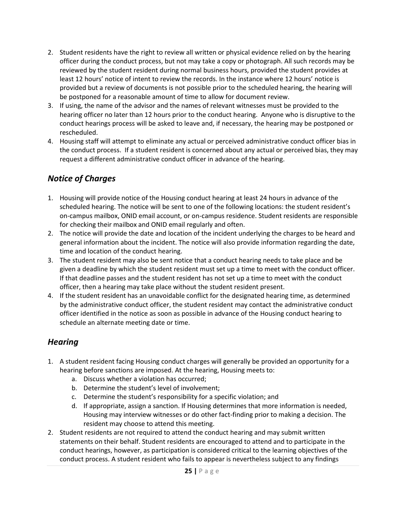- 2. Student residents have the right to review all written or physical evidence relied on by the hearing officer during the conduct process, but not may take a copy or photograph. All such records may be reviewed by the student resident during normal business hours, provided the student provides at least 12 hours' notice of intent to review the records. In the instance where 12 hours' notice is provided but a review of documents is not possible prior to the scheduled hearing, the hearing will be postponed for a reasonable amount of time to allow for document review.
- 3. If using, the name of the advisor and the names of relevant witnesses must be provided to the hearing officer no later than 12 hours prior to the conduct hearing. Anyone who is disruptive to the conduct hearings process will be asked to leave and, if necessary, the hearing may be postponed or rescheduled.
- 4. Housing staff will attempt to eliminate any actual or perceived administrative conduct officer bias in the conduct process. If a student resident is concerned about any actual or perceived bias, they may request a different administrative conduct officer in advance of the hearing.

#### <span id="page-25-0"></span>*Notice of Charges*

- 1. Housing will provide notice of the Housing conduct hearing at least 24 hours in advance of the scheduled hearing. The notice will be sent to one of the following locations: the student resident's on-campus mailbox, ONID email account, or on-campus residence. Student residents are responsible for checking their mailbox and ONID email regularly and often.
- 2. The notice will provide the date and location of the incident underlying the charges to be heard and general information about the incident. The notice will also provide information regarding the date, time and location of the conduct hearing.
- 3. The student resident may also be sent notice that a conduct hearing needs to take place and be given a deadline by which the student resident must set up a time to meet with the conduct officer. If that deadline passes and the student resident has not set up a time to meet with the conduct officer, then a hearing may take place without the student resident present.
- 4. If the student resident has an unavoidable conflict for the designated hearing time, as determined by the administrative conduct officer, the student resident may contact the administrative conduct officer identified in the notice as soon as possible in advance of the Housing conduct hearing to schedule an alternate meeting date or time.

#### <span id="page-25-1"></span>*Hearing*

- 1. A student resident facing Housing conduct charges will generally be provided an opportunity for a hearing before sanctions are imposed. At the hearing, Housing meets to:
	- a. Discuss whether a violation has occurred;
	- b. Determine the student's level of involvement;
	- c. Determine the student's responsibility for a specific violation; and
	- d. If appropriate, assign a sanction. If Housing determines that more information is needed, Housing may interview witnesses or do other fact-finding prior to making a decision. The resident may choose to attend this meeting.
- 2. Student residents are not required to attend the conduct hearing and may submit written statements on their behalf. Student residents are encouraged to attend and to participate in the conduct hearings, however, as participation is considered critical to the learning objectives of the conduct process. A student resident who fails to appear is nevertheless subject to any findings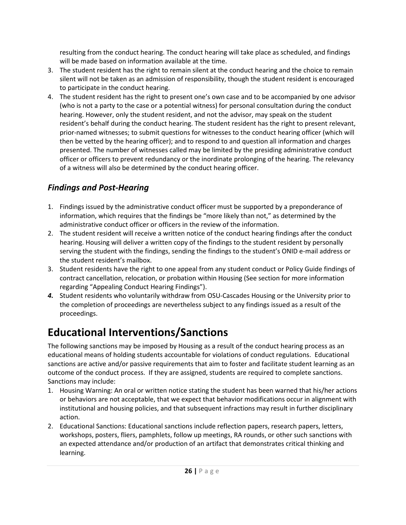resulting from the conduct hearing. The conduct hearing will take place as scheduled, and findings will be made based on information available at the time.

- 3. The student resident has the right to remain silent at the conduct hearing and the choice to remain silent will not be taken as an admission of responsibility, though the student resident is encouraged to participate in the conduct hearing.
- 4. The student resident has the right to present one's own case and to be accompanied by one advisor (who is not a party to the case or a potential witness) for personal consultation during the conduct hearing. However, only the student resident, and not the advisor, may speak on the student resident's behalf during the conduct hearing. The student resident has the right to present relevant, prior-named witnesses; to submit questions for witnesses to the conduct hearing officer (which will then be vetted by the hearing officer); and to respond to and question all information and charges presented. The number of witnesses called may be limited by the presiding administrative conduct officer or officers to prevent redundancy or the inordinate prolonging of the hearing. The relevancy of a witness will also be determined by the conduct hearing officer.

#### <span id="page-26-0"></span>*Findings and Post-Hearing*

- 1. Findings issued by the administrative conduct officer must be supported by a preponderance of information, which requires that the findings be "more likely than not," as determined by the administrative conduct officer or officers in the review of the information.
- 2. The student resident will receive a written notice of the conduct hearing findings after the conduct hearing. Housing will deliver a written copy of the findings to the student resident by personally serving the student with the findings, sending the findings to the student's ONID e-mail address or the student resident's mailbox.
- 3. Student residents have the right to one appeal from any student conduct or Policy Guide findings of contract cancellation, relocation, or probation within Housing (See section for more information regarding "Appealing Conduct Hearing Findings").
- *4.* Student residents who voluntarily withdraw from OSU-Cascades Housing or the University prior to the completion of proceedings are nevertheless subject to any findings issued as a result of the proceedings.

## <span id="page-26-1"></span>**Educational Interventions/Sanctions**

The following sanctions may be imposed by Housing as a result of the conduct hearing process as an educational means of holding students accountable for violations of conduct regulations. Educational sanctions are active and/or passive requirements that aim to foster and facilitate student learning as an outcome of the conduct process. If they are assigned, students are required to complete sanctions. Sanctions may include:

- 1. Housing Warning: An oral or written notice stating the student has been warned that his/her actions or behaviors are not acceptable, that we expect that behavior modifications occur in alignment with institutional and housing policies, and that subsequent infractions may result in further disciplinary action.
- 2. Educational Sanctions: Educational sanctions include reflection papers, research papers, letters, workshops, posters, fliers, pamphlets, follow up meetings, RA rounds, or other such sanctions with an expected attendance and/or production of an artifact that demonstrates critical thinking and learning.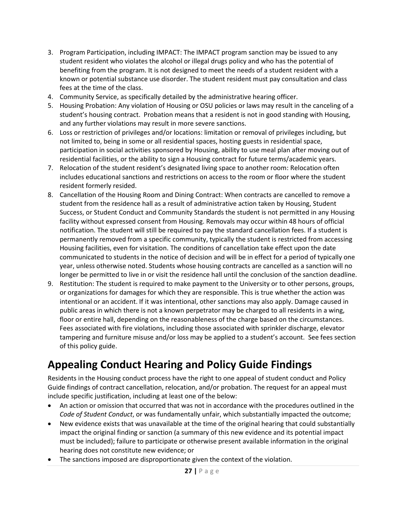- 3. Program Participation, including IMPACT: The IMPACT program sanction may be issued to any student resident who violates the alcohol or illegal drugs policy and who has the potential of benefiting from the program. It is not designed to meet the needs of a student resident with a known or potential substance use disorder. The student resident must pay consultation and class fees at the time of the class.
- 4. Community Service, as specifically detailed by the administrative hearing officer.
- 5. Housing Probation: Any violation of Housing or OSU policies or laws may result in the canceling of a student's housing contract. Probation means that a resident is not in good standing with Housing, and any further violations may result in more severe sanctions.
- 6. Loss or restriction of privileges and/or locations: limitation or removal of privileges including, but not limited to, being in some or all residential spaces, hosting guests in residential space, participation in social activities sponsored by Housing, ability to use meal plan after moving out of residential facilities, or the ability to sign a Housing contract for future terms/academic years.
- 7. Relocation of the student resident's designated living space to another room: Relocation often includes educational sanctions and restrictions on access to the room or floor where the student resident formerly resided.
- 8. Cancellation of the Housing Room and Dining Contract: When contracts are cancelled to remove a student from the residence hall as a result of administrative action taken by Housing, Student Success, or Student Conduct and Community Standards the student is not permitted in any Housing facility without expressed consent from Housing. Removals may occur within 48 hours of official notification. The student will still be required to pay the standard cancellation fees. If a student is permanently removed from a specific community, typically the student is restricted from accessing Housing facilities, even for visitation. The conditions of cancellation take effect upon the date communicated to students in the notice of decision and will be in effect for a period of typically one year, unless otherwise noted. Students whose housing contracts are cancelled as a sanction will no longer be permitted to live in or visit the residence hall until the conclusion of the sanction deadline.
- 9. Restitution: The student is required to make payment to the University or to other persons, groups, or organizations for damages for which they are responsible. This is true whether the action was intentional or an accident. If it was intentional, other sanctions may also apply. Damage caused in public areas in which there is not a known perpetrator may be charged to all residents in a wing, floor or entire hall, depending on the reasonableness of the charge based on the circumstances. Fees associated with fire violations, including those associated with sprinkler discharge, elevator tampering and furniture misuse and/or loss may be applied to a student's account. See fees section of this policy guide.

### <span id="page-27-0"></span>**Appealing Conduct Hearing and Policy Guide Findings**

Residents in the Housing conduct process have the right to one appeal of student conduct and Policy Guide findings of contract cancellation, relocation, and/or probation. The request for an appeal must include specific justification, including at least one of the below:

- An action or omission that occurred that was not in accordance with the procedures outlined in the *Code of Student Conduct*, or was fundamentally unfair, which substantially impacted the outcome;
- New evidence exists that was unavailable at the time of the original hearing that could substantially impact the original finding or sanction (a summary of this new evidence and its potential impact must be included); failure to participate or otherwise present available information in the original hearing does not constitute new evidence; or
- The sanctions imposed are disproportionate given the context of the violation.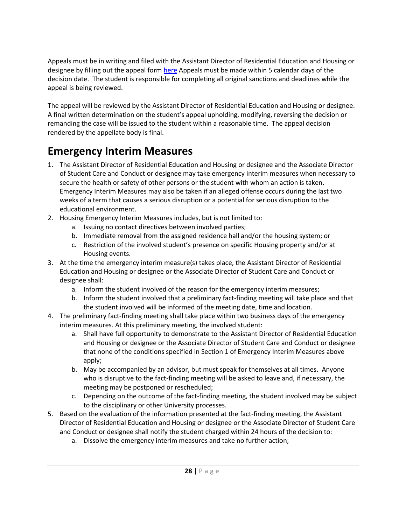Appeals must be in writing and filed with the Assistant Director of Residential Education and Housing or designee by filling out the appeal for[m here](file:///C:/Users/snydeamy/AppData/Local/Microsoft/Windows/INetCache/Content.Outlook/Z9A8BAHU/cm.maxient.com/reportingform.php%3fOregonStateUniv&layout_id=127) Appeals must be made within 5 calendar days of the decision date. The student is responsible for completing all original sanctions and deadlines while the appeal is being reviewed.

The appeal will be reviewed by the Assistant Director of Residential Education and Housing or designee. A final written determination on the student's appeal upholding, modifying, reversing the decision or remanding the case will be issued to the student within a reasonable time. The appeal decision rendered by the appellate body is final.

## <span id="page-28-0"></span>**Emergency Interim Measures**

- 1. The Assistant Director of Residential Education and Housing or designee and the Associate Director of Student Care and Conduct or designee may take emergency interim measures when necessary to secure the health or safety of other persons or the student with whom an action is taken. Emergency Interim Measures may also be taken if an alleged offense occurs during the last two weeks of a term that causes a serious disruption or a potential for serious disruption to the educational environment.
- 2. Housing Emergency Interim Measures includes, but is not limited to:
	- a. Issuing no contact directives between involved parties;
	- b. Immediate removal from the assigned residence hall and/or the housing system; or
	- c. Restriction of the involved student's presence on specific Housing property and/or at Housing events.
- 3. At the time the emergency interim measure(s) takes place, the Assistant Director of Residential Education and Housing or designee or the Associate Director of Student Care and Conduct or designee shall:
	- a. Inform the student involved of the reason for the emergency interim measures;
	- b. Inform the student involved that a preliminary fact-finding meeting will take place and that the student involved will be informed of the meeting date, time and location.
- 4. The preliminary fact-finding meeting shall take place within two business days of the emergency interim measures. At this preliminary meeting, the involved student:
	- a. Shall have full opportunity to demonstrate to the Assistant Director of Residential Education and Housing or designee or the Associate Director of Student Care and Conduct or designee that none of the conditions specified in Section 1 of Emergency Interim Measures above apply;
	- b. May be accompanied by an advisor, but must speak for themselves at all times. Anyone who is disruptive to the fact-finding meeting will be asked to leave and, if necessary, the meeting may be postponed or rescheduled;
	- c. Depending on the outcome of the fact-finding meeting, the student involved may be subject to the disciplinary or other University processes.
- 5. Based on the evaluation of the information presented at the fact-finding meeting, the Assistant Director of Residential Education and Housing or designee or the Associate Director of Student Care and Conduct or designee shall notify the student charged within 24 hours of the decision to:
	- a. Dissolve the emergency interim measures and take no further action;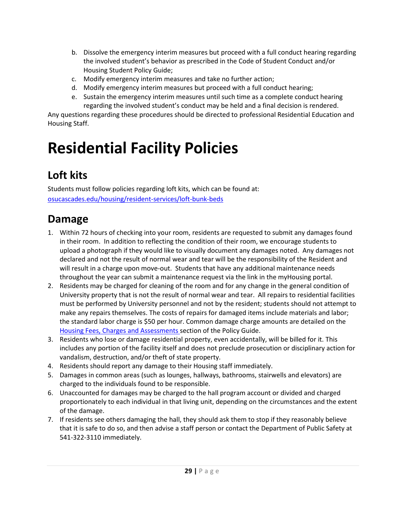- b. Dissolve the emergency interim measures but proceed with a full conduct hearing regarding the involved student's behavior as prescribed in the Code of Student Conduct and/or Housing Student Policy Guide;
- c. Modify emergency interim measures and take no further action;
- d. Modify emergency interim measures but proceed with a full conduct hearing;
- e. Sustain the emergency interim measures until such time as a complete conduct hearing regarding the involved student's conduct may be held and a final decision is rendered.

Any questions regarding these procedures should be directed to professional Residential Education and Housing Staff.

## <span id="page-29-0"></span>**Residential Facility Policies**

## <span id="page-29-1"></span>**Loft kits**

Students must follow policies regarding loft kits, which can be found at: [osucascades.edu/housing/resident-services/loft-bunk-beds](http://osucascades.edu/uhds/resident-services/loft-bunk-beds) 

## <span id="page-29-2"></span>**Damage**

- 1. Within 72 hours of checking into your room, residents are requested to submit any damages found in their room. In addition to reflecting the condition of their room, we encourage students to upload a photograph if they would like to visually document any damages noted. Any damages not declared and not the result of normal wear and tear will be the responsibility of the Resident and will result in a charge upon move-out. Students that have any additional maintenance needs throughout the year can submit a maintenance request via the link in the myHousing portal.
- 2. Residents may be charged for cleaning of the room and for any change in the general condition of University property that is not the result of normal wear and tear. All repairs to residential facilities must be performed by University personnel and not by the resident; students should not attempt to make any repairs themselves. The costs of repairs for damaged items include materials and labor; the standard labor charge is \$50 per hour. Common damage charge amounts are detailed on the Housing [Fees, Charges and Assessments](#page-37-0) section of the Policy Guide.
- 3. Residents who lose or damage residential property, even accidentally, will be billed for it. This includes any portion of the facility itself and does not preclude prosecution or disciplinary action for vandalism, destruction, and/or theft of state property.
- 4. Residents should report any damage to their Housing staff immediately.
- 5. Damages in common areas (such as lounges, hallways, bathrooms, stairwells and elevators) are charged to the individuals found to be responsible.
- 6. Unaccounted for damages may be charged to the hall program account or divided and charged proportionately to each individual in that living unit, depending on the circumstances and the extent of the damage.
- 7. If residents see others damaging the hall, they should ask them to stop if they reasonably believe that it is safe to do so, and then advise a staff person or contact the Department of Public Safety at 541-322-3110 immediately.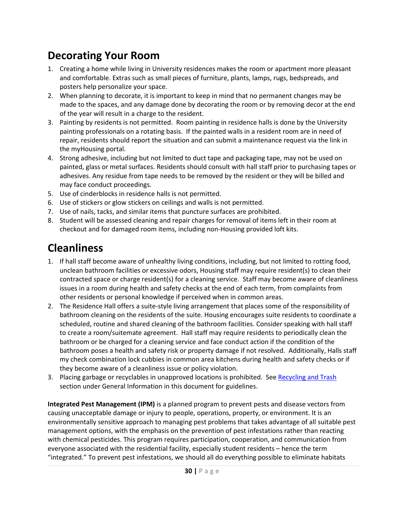## <span id="page-30-0"></span>**Decorating Your Room**

- 1. Creating a home while living in University residences makes the room or apartment more pleasant and comfortable. Extras such as small pieces of furniture, plants, lamps, rugs, bedspreads, and posters help personalize your space.
- 2. When planning to decorate, it is important to keep in mind that no permanent changes may be made to the spaces, and any damage done by decorating the room or by removing decor at the end of the year will result in a charge to the resident.
- 3. Painting by residents is not permitted. Room painting in residence halls is done by the University painting professionals on a rotating basis. If the painted walls in a resident room are in need of repair, residents should report the situation and can submit a maintenance request via the link in the myHousing portal.
- 4. Strong adhesive, including but not limited to duct tape and packaging tape, may not be used on painted, glass or metal surfaces. Residents should consult with hall staff prior to purchasing tapes or adhesives. Any residue from tape needs to be removed by the resident or they will be billed and may face conduct proceedings.
- 5. Use of cinderblocks in residence halls is not permitted.
- 6. Use of stickers or glow stickers on ceilings and walls is not permitted.
- 7. Use of nails, tacks, and similar items that puncture surfaces are prohibited.
- 8. Student will be assessed cleaning and repair charges for removal of items left in their room at checkout and for damaged room items, including non-Housing provided loft kits.

### <span id="page-30-1"></span>**Cleanliness**

- 1. If hall staff become aware of unhealthy living conditions, including, but not limited to rotting food, unclean bathroom facilities or excessive odors, Housing staff may require resident(s) to clean their contracted space or charge resident(s) for a cleaning service. Staff may become aware of cleanliness issues in a room during health and safety checks at the end of each term, from complaints from other residents or personal knowledge if perceived when in common areas.
- 2. The Residence Hall offers a suite-style living arrangement that places some of the responsibility of bathroom cleaning on the residents of the suite. Housing encourages suite residents to coordinate a scheduled, routine and shared cleaning of the bathroom facilities. Consider speaking with hall staff to create a room/suitemate agreement. Hall staff may require residents to periodically clean the bathroom or be charged for a cleaning service and face conduct action if the condition of the bathroom poses a health and safety risk or property damage if not resolved. Additionally, Halls staff my check combination lock cubbies in common area kitchens during health and safety checks or if they become aware of a cleanliness issue or policy violation.
- 3. Placing garbage or recyclables in unapproved locations is prohibited. Se[e Recycling and Trash](#page-35-1) section under General Information in this document for guidelines.

**Integrated Pest Management (IPM)** is a planned program to prevent pests and disease vectors from causing unacceptable damage or injury to people, operations, property, or environment. It is an environmentally sensitive approach to managing pest problems that takes advantage of all suitable pest management options, with the emphasis on the prevention of pest infestations rather than reacting with chemical pesticides. This program requires participation, cooperation, and communication from everyone associated with the residential facility, especially student residents – hence the term "integrated." To prevent pest infestations, we should all do everything possible to eliminate habitats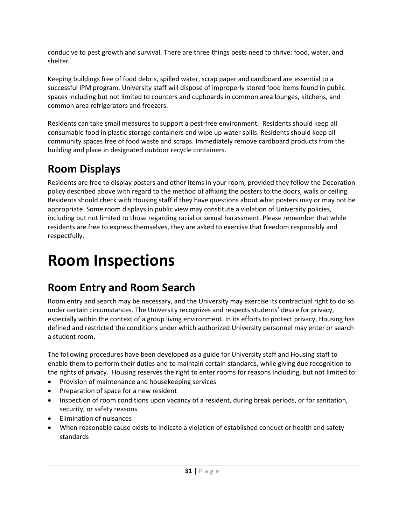conducive to pest growth and survival. There are three things pests need to thrive: food, water, and shelter.

Keeping buildings free of food debris, spilled water, scrap paper and cardboard are essential to a successful IPM program. University staff will dispose of improperly stored food items found in public spaces including but not limited to counters and cupboards in common area lounges, kitchens, and common area refrigerators and freezers.

Residents can take small measures to support a pest-free environment.Residents should keep all consumable food in plastic storage containers and wipe up water spills. Residents should keep all community spaces free of food waste and scraps. Immediately remove cardboard products from the building and place in designated outdoor recycle containers.

## <span id="page-31-0"></span>**Room Displays**

Residents are free to display posters and other items in your room, provided they follow the Decoration policy described above with regard to the method of affixing the posters to the doors, walls or ceiling. Residents should check with Housing staff if they have questions about what posters may or may not be appropriate. Some room displays in public view may constitute a violation of University policies, including but not limited to those regarding racial or sexual harassment. Please remember that while residents are free to express themselves, they are asked to exercise that freedom responsibly and respectfully.

## <span id="page-31-1"></span>**Room Inspections**

### <span id="page-31-2"></span>**Room Entry and Room Search**

Room entry and search may be necessary, and the University may exercise its contractual right to do so under certain circumstances. The University recognizes and respects students' desire for privacy, especially within the context of a group living environment. In its efforts to protect privacy, Housing has defined and restricted the conditions under which authorized University personnel may enter or search a student room.

The following procedures have been developed as a guide for University staff and Housing staff to enable them to perform their duties and to maintain certain standards, while giving due recognition to the rights of privacy. Housing reserves the right to enter rooms for reasons including, but not limited to:

- Provision of maintenance and housekeeping services
- Preparation of space for a new resident
- Inspection of room conditions upon vacancy of a resident, during break periods, or for sanitation, security, or safety reasons
- Elimination of nuisances
- When reasonable cause exists to indicate a violation of established conduct or health and safety standards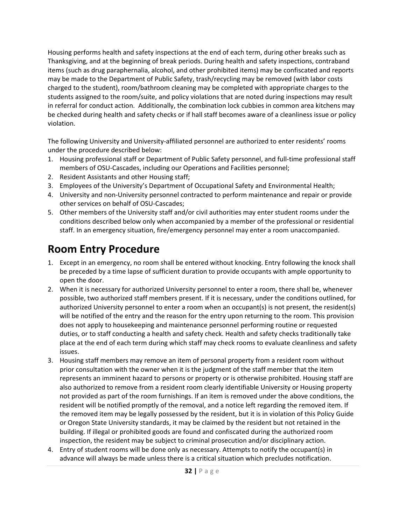Housing performs health and safety inspections at the end of each term, during other breaks such as Thanksgiving, and at the beginning of break periods. During health and safety inspections, contraband items (such as drug paraphernalia, alcohol, and other prohibited items) may be confiscated and reports may be made to the Department of Public Safety, trash/recycling may be removed (with labor costs charged to the student), room/bathroom cleaning may be completed with appropriate charges to the students assigned to the room/suite, and policy violations that are noted during inspections may result in referral for conduct action. Additionally, the combination lock cubbies in common area kitchens may be checked during health and safety checks or if hall staff becomes aware of a cleanliness issue or policy violation.

The following University and University-affiliated personnel are authorized to enter residents' rooms under the procedure described below:

- 1. Housing professional staff or Department of Public Safety personnel, and full-time professional staff members of OSU-Cascades, including our Operations and Facilities personnel;
- 2. Resident Assistants and other Housing staff;
- 3. Employees of the University's Department of Occupational Safety and Environmental Health;
- 4. University and non-University personnel contracted to perform maintenance and repair or provide other services on behalf of OSU-Cascades;
- 5. Other members of the University staff and/or civil authorities may enter student rooms under the conditions described below only when accompanied by a member of the professional or residential staff. In an emergency situation, fire/emergency personnel may enter a room unaccompanied.

### <span id="page-32-0"></span>**Room Entry Procedure**

- 1. Except in an emergency, no room shall be entered without knocking. Entry following the knock shall be preceded by a time lapse of sufficient duration to provide occupants with ample opportunity to open the door.
- 2. When it is necessary for authorized University personnel to enter a room, there shall be, whenever possible, two authorized staff members present. If it is necessary, under the conditions outlined, for authorized University personnel to enter a room when an occupant(s) is not present, the resident(s) will be notified of the entry and the reason for the entry upon returning to the room. This provision does not apply to housekeeping and maintenance personnel performing routine or requested duties, or to staff conducting a health and safety check. Health and safety checks traditionally take place at the end of each term during which staff may check rooms to evaluate cleanliness and safety issues.
- 3. Housing staff members may remove an item of personal property from a resident room without prior consultation with the owner when it is the judgment of the staff member that the item represents an imminent hazard to persons or property or is otherwise prohibited. Housing staff are also authorized to remove from a resident room clearly identifiable University or Housing property not provided as part of the room furnishings. If an item is removed under the above conditions, the resident will be notified promptly of the removal, and a notice left regarding the removed item. If the removed item may be legally possessed by the resident, but it is in violation of this Policy Guide or Oregon State University standards, it may be claimed by the resident but not retained in the building. If illegal or prohibited goods are found and confiscated during the authorized room inspection, the resident may be subject to criminal prosecution and/or disciplinary action.
- 4. Entry of student rooms will be done only as necessary. Attempts to notify the occupant(s) in advance will always be made unless there is a critical situation which precludes notification.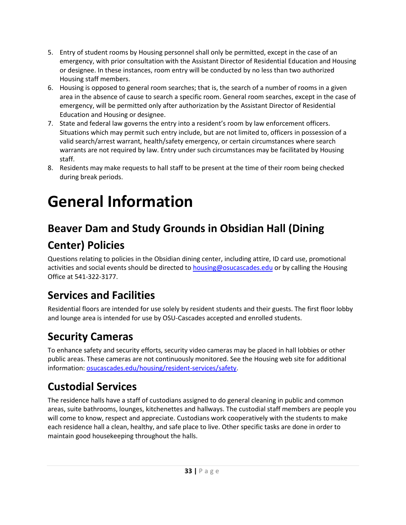- 5. Entry of student rooms by Housing personnel shall only be permitted, except in the case of an emergency, with prior consultation with the Assistant Director of Residential Education and Housing or designee. In these instances, room entry will be conducted by no less than two authorized Housing staff members.
- 6. Housing is opposed to general room searches; that is, the search of a number of rooms in a given area in the absence of cause to search a specific room. General room searches, except in the case of emergency, will be permitted only after authorization by the Assistant Director of Residential Education and Housing or designee.
- 7. State and federal law governs the entry into a resident's room by law enforcement officers. Situations which may permit such entry include, but are not limited to, officers in possession of a valid search/arrest warrant, health/safety emergency, or certain circumstances where search warrants are not required by law. Entry under such circumstances may be facilitated by Housing staff.
- 8. Residents may make requests to hall staff to be present at the time of their room being checked during break periods.

## <span id="page-33-0"></span>**General Information**

## <span id="page-33-1"></span>**Beaver Dam and Study Grounds in Obsidian Hall (Dining**

## **Center) Policies**

Questions relating to policies in the Obsidian dining center, including attire, ID card use, promotional activities and social events should be directed to [housing@osucascades.edu](mailto:housing@osucascades.edu) or by calling the Housing Office at 541-322-3177.

## <span id="page-33-2"></span>**Services and Facilities**

Residential floors are intended for use solely by resident students and their guests. The first floor lobby and lounge area is intended for use by OSU-Cascades accepted and enrolled students.

## <span id="page-33-3"></span>**Security Cameras**

To enhance safety and security efforts, security video cameras may be placed in hall lobbies or other public areas. These cameras are not continuously monitored. See the Housing web site for additional information: [osucascades.edu/housing/resident-services/safety.](http://osucascades.edu/uhds/resident-services/safety)

## <span id="page-33-4"></span>**Custodial Services**

The residence halls have a staff of custodians assigned to do general cleaning in public and common areas, suite bathrooms, lounges, kitchenettes and hallways. The custodial staff members are people you will come to know, respect and appreciate. Custodians work cooperatively with the students to make each residence hall a clean, healthy, and safe place to live. Other specific tasks are done in order to maintain good housekeeping throughout the halls.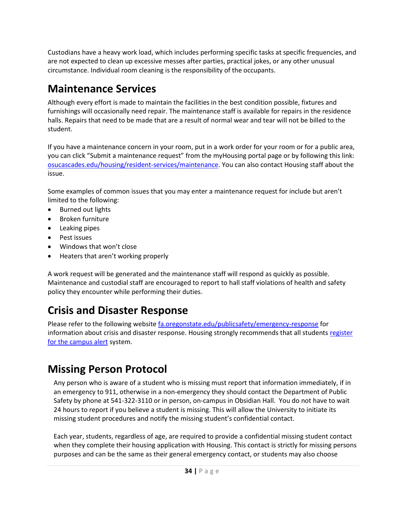Custodians have a heavy work load, which includes performing specific tasks at specific frequencies, and are not expected to clean up excessive messes after parties, practical jokes, or any other unusual circumstance. Individual room cleaning is the responsibility of the occupants.

## <span id="page-34-0"></span>**Maintenance Services**

Although every effort is made to maintain the facilities in the best condition possible, fixtures and furnishings will occasionally need repair. The maintenance staff is available for repairs in the residence halls. Repairs that need to be made that are a result of normal wear and tear will not be billed to the student.

If you have a maintenance concern in your room, put in a work order for your room or for a public area, you can click "Submit a maintenance request" from the myHousing portal page or by following this link: [osucascades.edu/housing/resident-services/maintenance.](http://osucascades.edu/uhds/resident-services/maintenance) You can also contact Housing staff about the issue.

Some examples of common issues that you may enter a maintenance request for include but aren't limited to the following:

- Burned out lights
- Broken furniture
- Leaking pipes
- Pest issues
- Windows that won't close
- Heaters that aren't working properly

A work request will be generated and the maintenance staff will respond as quickly as possible. Maintenance and custodial staff are encouraged to report to hall staff violations of health and safety policy they encounter while performing their duties.

## <span id="page-34-1"></span>**Crisis and Disaster Response**

Please refer to the following website [fa.oregonstate.edu/publicsafety/emergency-response](file://///space.uhds.oregonstate.edu/Shared/Groups/Bend/Conduct/Policy%20Guide/fa.oregonstate.edu/publicsafety/emergency-response) for information about crisis and disaster response. Housing strongly recommends that all student[s register](http://main.oregonstate.edu/alerts/osu-alert-portal)  [for the campus alert](http://main.oregonstate.edu/alerts/osu-alert-portal) system.

## <span id="page-34-2"></span>**Missing Person Protocol**

Any person who is aware of a student who is missing must report that information immediately, if in an emergency to 911, otherwise in a non-emergency they should contact the Department of Public Safety by phone at 541-322-3110 or in person, on-campus in Obsidian Hall. You do not have to wait 24 hours to report if you believe a student is missing. This will allow the University to initiate its missing student procedures and notify the missing student's confidential contact.

Each year, students, regardless of age, are required to provide a confidential missing student contact when they complete their housing application with Housing. This contact is strictly for missing persons purposes and can be the same as their general emergency contact, or students may also choose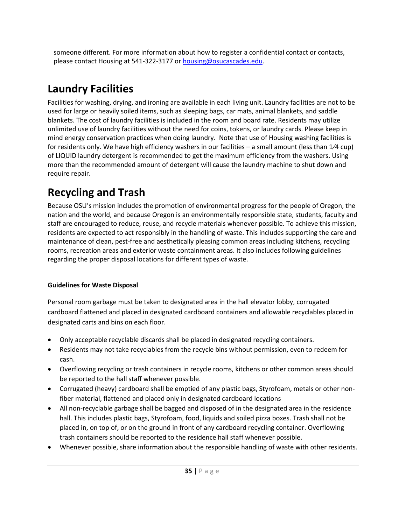someone different. For more information about how to register a confidential contact or contacts, please contact Housing at 541-322-3177 o[r housing@osucascades.edu.](mailto:housing@osucascades.edu)

## <span id="page-35-0"></span>**Laundry Facilities**

Facilities for washing, drying, and ironing are available in each living unit. Laundry facilities are not to be used for large or heavily soiled items, such as sleeping bags, car mats, animal blankets, and saddle blankets. The cost of laundry facilities is included in the room and board rate. Residents may utilize unlimited use of laundry facilities without the need for coins, tokens, or laundry cards. Please keep in mind energy conservation practices when doing laundry. Note that use of Housing washing facilities is for residents only. We have high efficiency washers in our facilities – a small amount (less than 1⁄4 cup) of LIQUID laundry detergent is recommended to get the maximum efficiency from the washers. Using more than the recommended amount of detergent will cause the laundry machine to shut down and require repair.

## <span id="page-35-1"></span>**Recycling and Trash**

Because OSU's mission includes the promotion of environmental progress for the people of Oregon, the nation and the world, and because Oregon is an environmentally responsible state, students, faculty and staff are encouraged to reduce, reuse, and recycle materials whenever possible. To achieve this mission, residents are expected to act responsibly in the handling of waste. This includes supporting the care and maintenance of clean, pest-free and aesthetically pleasing common areas including kitchens, recycling rooms, recreation areas and exterior waste containment areas. It also includes following guidelines regarding the proper disposal locations for different types of waste.

#### **Guidelines for Waste Disposal**

Personal room garbage must be taken to designated area in the hall elevator lobby, corrugated cardboard flattened and placed in designated cardboard containers and allowable recyclables placed in designated carts and bins on each floor.

- Only acceptable recyclable discards shall be placed in designated recycling containers.
- Residents may not take recyclables from the recycle bins without permission, even to redeem for cash.
- Overflowing recycling or trash containers in recycle rooms, kitchens or other common areas should be reported to the hall staff whenever possible.
- Corrugated (heavy) cardboard shall be emptied of any plastic bags, Styrofoam, metals or other nonfiber material, flattened and placed only in designated cardboard locations
- All non-recyclable garbage shall be bagged and disposed of in the designated area in the residence hall. This includes plastic bags, Styrofoam, food, liquids and soiled pizza boxes. Trash shall not be placed in, on top of, or on the ground in front of any cardboard recycling container. Overflowing trash containers should be reported to the residence hall staff whenever possible.
- Whenever possible, share information about the responsible handling of waste with other residents.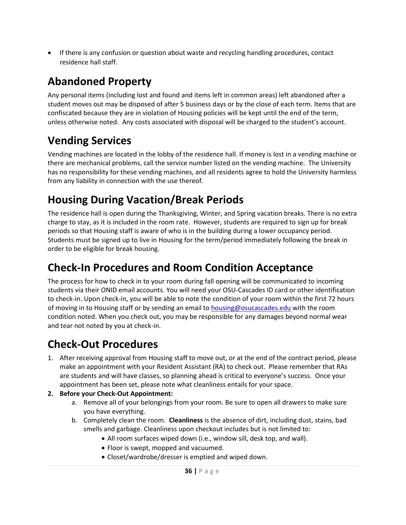• If there is any confusion or question about waste and recycling handling procedures, contact residence hall staff.

## <span id="page-36-0"></span>**Abandoned Property**

Any personal items (including lost and found and items left in common areas) left abandoned after a student moves out may be disposed of after 5 business days or by the close of each term. Items that are confiscated because they are in violation of Housing policies will be kept until the end of the term, unless otherwise noted. Any costs associated with disposal will be charged to the student's account.

## <span id="page-36-1"></span>**Vending Services**

Vending machines are located in the lobby of the residence hall. If money is lost in a vending machine or there are mechanical problems, call the service number listed on the vending machine. The University has no responsibility for these vending machines, and all residents agree to hold the University harmless from any liability in connection with the use thereof.

## <span id="page-36-2"></span>**Housing During Vacation/Break Periods**

The residence hall is open during the Thanksgiving, Winter, and Spring vacation breaks. There is no extra charge to stay, as it is included in the room rate. However, students are required to sign up for break periods so that Housing staff is aware of who is in the building during a lower occupancy period. Students must be signed up to live in Housing for the term/period immediately following the break in order to be eligible for break housing.

## <span id="page-36-3"></span>**Check-In Procedures and Room Condition Acceptance**

The process for how to check in to your room during fall opening will be communicated to incoming students via their ONID email accounts. You will need your OSU-Cascades ID card or other identification to check-in. Upon check-in, you will be able to note the condition of your room within the first 72 hours of moving in to Housing staff or by sending an email to [housing@osucascades.edu](mailto:housing@osucascades.edu) with the room condition noted. When you check out, you may be responsible for any damages beyond normal wear and tear not noted by you at check-in.

## <span id="page-36-4"></span>**Check-Out Procedures**

1. After receiving approval from Housing staff to move out, or at the end of the contract period, please make an appointment with your Resident Assistant (RA) to check out. Please remember that RAs are students and will have classes, so planning ahead is critical to everyone's success. Once your appointment has been set, please note what cleanliness entails for your space.

#### **2. Before your Check-Out Appointment:**

- a. Remove all of your belongings from your room. Be sure to open all drawers to make sure you have everything.
- b. Completely clean the room. **Cleanliness** is the absence of dirt, including dust, stains, bad smells and garbage. Cleanliness upon checkout includes but is not limited to:
	- All room surfaces wiped down (i.e., window sill, desk top, and wall).
	- Floor is swept, mopped and vacuumed.
	- Closet/wardrobe/dresser is emptied and wiped down.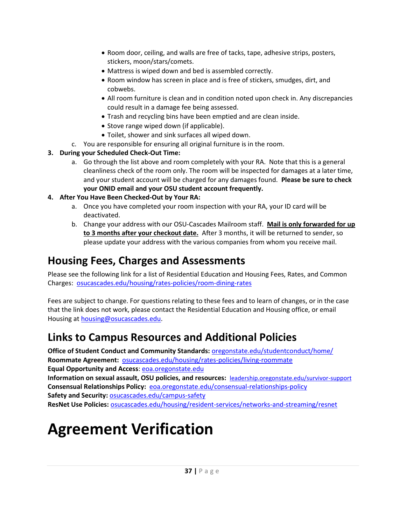- Room door, ceiling, and walls are free of tacks, tape, adhesive strips, posters, stickers, moon/stars/comets.
- Mattress is wiped down and bed is assembled correctly.
- Room window has screen in place and is free of stickers, smudges, dirt, and cobwebs.
- All room furniture is clean and in condition noted upon check in. Any discrepancies could result in a damage fee being assessed.
- Trash and recycling bins have been emptied and are clean inside.
- Stove range wiped down (if applicable).
- Toilet, shower and sink surfaces all wiped down.
- c. You are responsible for ensuring all original furniture is in the room.
- **3. During your Scheduled Check-Out Time:**
	- a. Go through the list above and room completely with your RA. Note that this is a general cleanliness check of the room only. The room will be inspected for damages at a later time, and your student account will be charged for any damages found. **Please be sure to check your ONID email and your OSU student account frequently.**

#### **4. After You Have Been Checked-Out by Your RA:**

- a. Once you have completed your room inspection with your RA, your ID card will be deactivated.
- b. Change your address with our OSU-Cascades Mailroom staff. **Mail is only forwarded for up to 3 months after your checkout date.** After 3 months, it will be returned to sender, so please update your address with the various companies from whom you receive mail.

## <span id="page-37-0"></span>**Housing Fees, Charges and Assessments**

Please see the following link for a list of Residential Education and Housing Fees, Rates, and Common Charges: [osucascades.edu/housing/rates-policies/room-dining-rates](http://osucascades.edu/uhds/rates-policies/room-dining-rates)

Fees are subject to change. For questions relating to these fees and to learn of changes, or in the case that the link does not work, please contact the Residential Education and Housing office, or email Housing at [housing@osucascades.edu.](mailto:housing@osucascades.edu)

## <span id="page-37-1"></span>**Links to Campus Resources and Additional Policies**

**Office of Student Conduct and Community Standards:** [oregonstate.edu/studentconduct/home/](http://oregonstate.edu/studentconduct/home/) **Roommate Agreement:** [osucascades.edu/housing/rates-policies/living-roommate](http://osucascades.edu/uhds/rates-policies/living-roommate) **Equal Opportunity and Access**: [eoa.oregonstate.edu](http://eoa.oregonstate.edu/) **Information on sexual assault, OSU policies, and resources:** [leadership.oregonstate.edu/survivor-support](http://leadership.oregonstate.edu/survivor-support) **Consensual Relationships Policy:** [eoa.oregonstate.edu/consensual-relationships-policy](http://eoa.oregonstate.edu/consensual-relationships-policy) **Safety and Security:** [osucascades.edu/campus-safety](file://///space.uhds.oregonstate.edu/shared/Groups/Bend/Conduct/Policy%20Guide/osucascades.edu/campus-safety)

**ResNet Use Policies:** [osucascades.edu/housing/resident-services/networks-and-streaming/resnet](http://osucascades.edu/uhds/resident-services/networks-and-streaming/resnet)

## <span id="page-37-2"></span>**Agreement Verification**